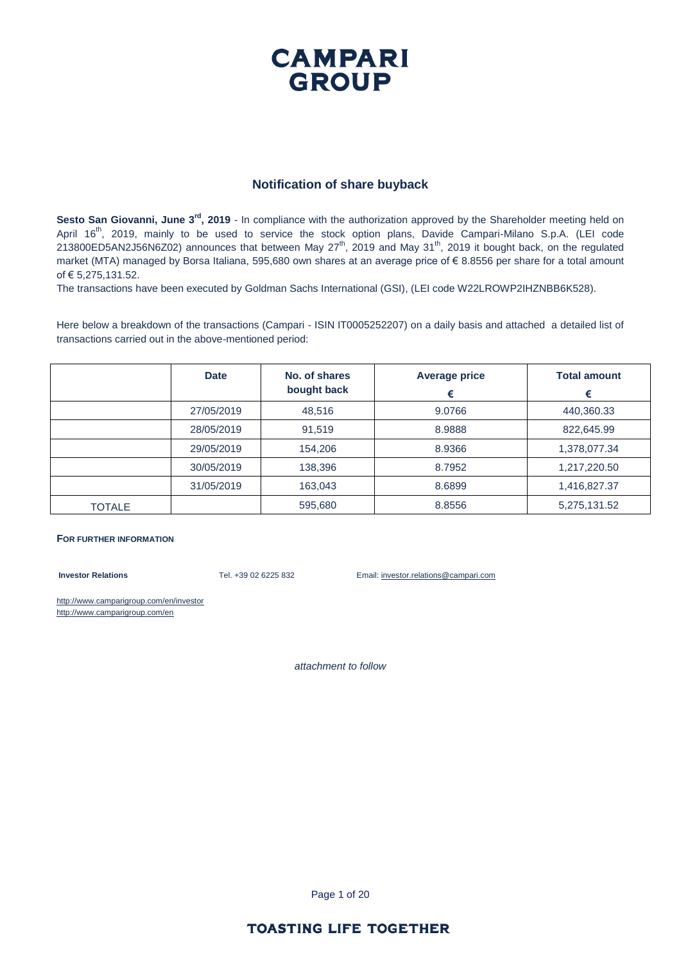#### **Notification of share buyback**

**Sesto San Giovanni, June 3<sup>rd</sup>**, 2019 - In compliance with the authorization approved by the Shareholder meeting held on April 16<sup>th</sup>, 2019, mainly to be used to service the stock option plans, Davide Campari-Milano S.p.A. (LEI code 213800ED5AN2J56N6Z02) announces that between May 27th, 2019 and May 31th, 2019 it bought back, on the regulated market (MTA) managed by Borsa Italiana, 595,680 own shares at an average price of € 8.8556 per share for a total amount of € 5,275,131.52.

The transactions have been executed by Goldman Sachs International (GSI), (LEI code W22LROWP2IHZNBB6K528).

Here below a breakdown of the transactions (Campari - ISIN IT0005252207) on a daily basis and attached a detailed list of transactions carried out in the above-mentioned period:

|               | <b>Date</b> | No. of shares<br>bought back | <b>Average price</b><br>€ | <b>Total amount</b><br>€ |
|---------------|-------------|------------------------------|---------------------------|--------------------------|
|               | 27/05/2019  | 48,516                       | 9.0766                    | 440,360.33               |
|               | 28/05/2019  | 91,519                       | 8.9888                    | 822,645.99               |
|               | 29/05/2019  | 154,206                      | 8.9366                    | 1,378,077.34             |
|               | 30/05/2019  | 138,396                      | 8.7952                    | 1,217,220.50             |
|               | 31/05/2019  | 163,043                      | 8.6899                    | 1,416,827.37             |
| <b>TOTALE</b> |             | 595,680                      | 8.8556                    | 5,275,131.52             |

#### **FOR FURTHER INFORMATION**

**Investor Relations** Tel. +39 02 6225 832 Email: investor.relations@campari.com

http://www.camparigroup.com/en/investor http://www.camparigroup.com/en

*attachment to follow*

Page 1 of 20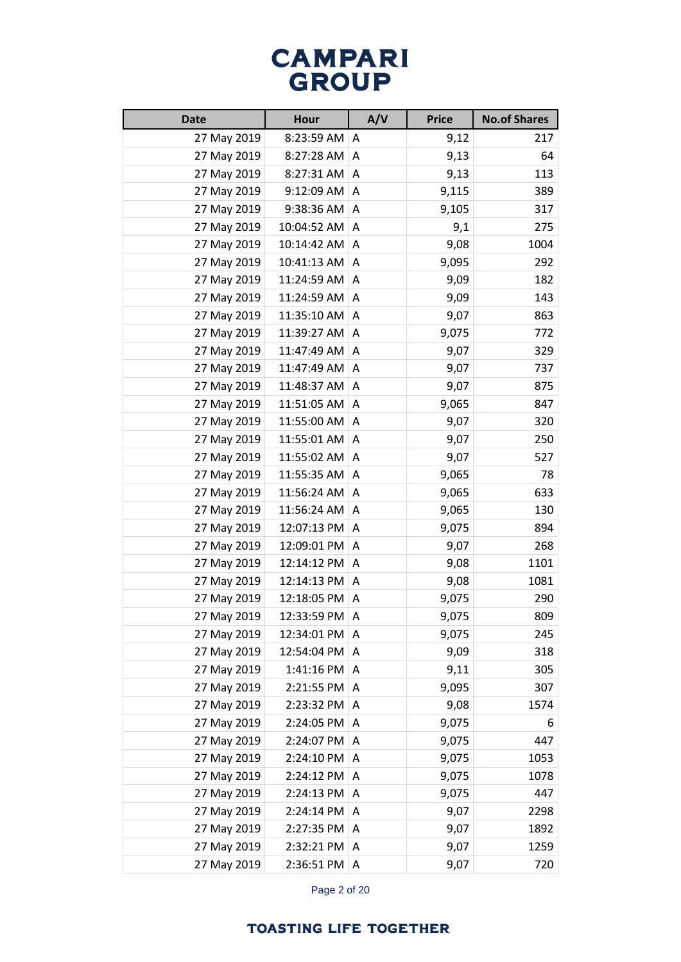| <b>Date</b><br><b>Hour</b> |             | A/V | <b>Price</b> | <b>No.of Shares</b> |
|----------------------------|-------------|-----|--------------|---------------------|
| 27 May 2019                | 8:23:59 AM  | A   | 9,12         | 217                 |
| 27 May 2019                | 8:27:28 AM  | A   | 9,13         | 64                  |
| 27 May 2019                | 8:27:31 AM  | Α   | 9,13         | 113                 |
| 27 May 2019                | 9:12:09 AM  | A   | 9,115        | 389                 |
| 27 May 2019                | 9:38:36 AM  | Α   | 9,105        | 317                 |
| 27 May 2019                | 10:04:52 AM | A   | 9,1          | 275                 |
| 27 May 2019                | 10:14:42 AM | A   | 9,08         | 1004                |
| 27 May 2019                | 10:41:13 AM | A   | 9,095        | 292                 |
| 27 May 2019                | 11:24:59 AM | A   | 9,09         | 182                 |
| 27 May 2019                | 11:24:59 AM | Α   | 9,09         | 143                 |
| 27 May 2019                | 11:35:10 AM | A   | 9,07         | 863                 |
| 27 May 2019                | 11:39:27 AM | A   | 9,075        | 772                 |
| 27 May 2019                | 11:47:49 AM | A   | 9,07         | 329                 |
| 27 May 2019                | 11:47:49 AM | A   | 9,07         | 737                 |
| 27 May 2019                | 11:48:37 AM | Α   | 9,07         | 875                 |
| 27 May 2019                | 11:51:05 AM | A   | 9,065        | 847                 |
| 27 May 2019                | 11:55:00 AM | Α   | 9,07         | 320                 |
| 27 May 2019                | 11:55:01 AM | A   | 9,07         | 250                 |
| 27 May 2019                | 11:55:02 AM | A   | 9,07         | 527                 |
| 27 May 2019                | 11:55:35 AM | Α   | 9,065        | 78                  |
| 27 May 2019                | 11:56:24 AM | A   | 9,065        | 633                 |
| 27 May 2019                | 11:56:24 AM | A   | 9,065        | 130                 |
| 27 May 2019                | 12:07:13 PM | A   | 9,075        | 894                 |
| 27 May 2019                | 12:09:01 PM | A   | 9,07         | 268                 |
| 27 May 2019                | 12:14:12 PM | A   | 9,08         | 1101                |
| 27 May 2019                | 12:14:13 PM | A   | 9,08         | 1081                |
| 27 May 2019                | 12:18:05 PM | A   | 9,075        | 290                 |
| 27 May 2019                | 12:33:59 PM | A   | 9,075        | 809                 |
| 27 May 2019                | 12:34:01 PM | A   | 9,075        | 245                 |
| 27 May 2019                | 12:54:04 PM | A   | 9,09         | 318                 |
| 27 May 2019                | 1:41:16 PM  | A   | 9,11         | 305                 |
| 27 May 2019                | 2:21:55 PM  | Α   | 9,095        | 307                 |
| 27 May 2019                | 2:23:32 PM  | A   | 9,08         | 1574                |
| 27 May 2019                | 2:24:05 PM  | Α   | 9,075        | 6                   |
| 27 May 2019                | 2:24:07 PM  | A   | 9,075        | 447                 |
| 27 May 2019                | 2:24:10 PM  | A   | 9,075        | 1053                |
| 27 May 2019                | 2:24:12 PM  | A   | 9,075        | 1078                |
| 27 May 2019                | 2:24:13 PM  | A   | 9,075        | 447                 |
| 27 May 2019                | 2:24:14 PM  | Α   | 9,07         | 2298                |
| 27 May 2019                | 2:27:35 PM  | Α   | 9,07         | 1892                |
| 27 May 2019                | 2:32:21 PM  | A   | 9,07         | 1259                |
| 27 May 2019                | 2:36:51 PM  | A   | 9,07         | 720                 |

Page 2 of 20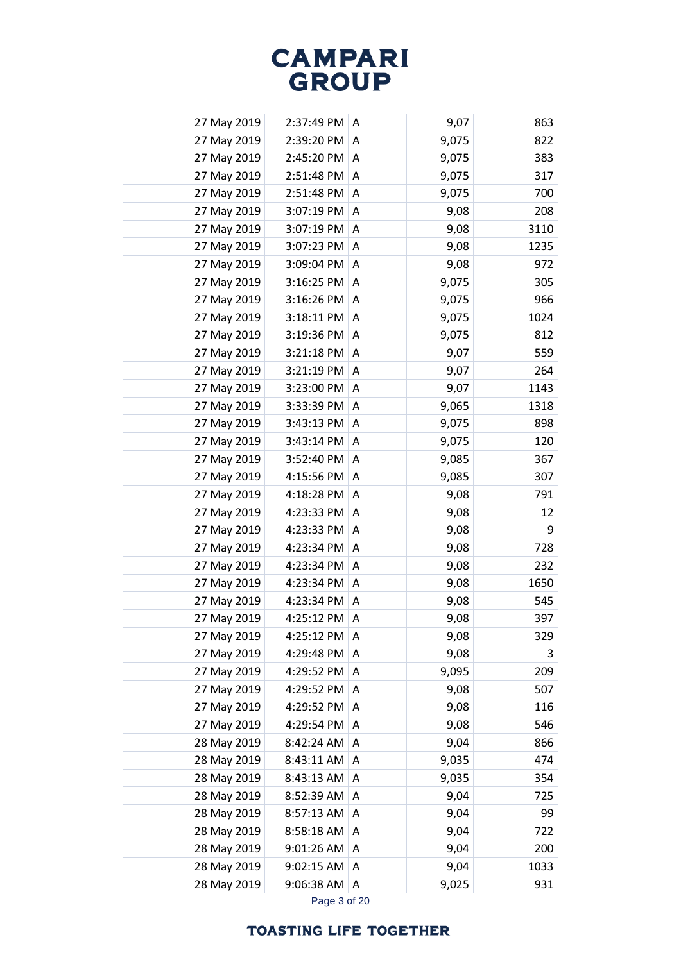| 27 May 2019 | 2:37:49 PM | A | 9,07  | 863  |
|-------------|------------|---|-------|------|
| 27 May 2019 | 2:39:20 PM | A | 9,075 | 822  |
| 27 May 2019 | 2:45:20 PM | A | 9,075 | 383  |
| 27 May 2019 | 2:51:48 PM | A | 9,075 | 317  |
| 27 May 2019 | 2:51:48 PM | Α | 9,075 | 700  |
| 27 May 2019 | 3:07:19 PM | A | 9,08  | 208  |
| 27 May 2019 | 3:07:19 PM | A | 9,08  | 3110 |
| 27 May 2019 | 3:07:23 PM | A | 9,08  | 1235 |
| 27 May 2019 | 3:09:04 PM | A | 9,08  | 972  |
| 27 May 2019 | 3:16:25 PM | Α | 9,075 | 305  |
| 27 May 2019 | 3:16:26 PM | A | 9,075 | 966  |
| 27 May 2019 | 3:18:11 PM | A | 9,075 | 1024 |
| 27 May 2019 | 3:19:36 PM | A | 9,075 | 812  |
| 27 May 2019 | 3:21:18 PM | A | 9,07  | 559  |
| 27 May 2019 | 3:21:19 PM | A | 9,07  | 264  |
| 27 May 2019 | 3:23:00 PM | A | 9,07  | 1143 |
| 27 May 2019 | 3:33:39 PM | A | 9,065 | 1318 |
| 27 May 2019 | 3:43:13 PM | A | 9,075 | 898  |
| 27 May 2019 | 3:43:14 PM | Α | 9,075 | 120  |
| 27 May 2019 | 3:52:40 PM | A | 9,085 | 367  |
| 27 May 2019 | 4:15:56 PM | A | 9,085 | 307  |
| 27 May 2019 | 4:18:28 PM | A | 9,08  | 791  |
| 27 May 2019 | 4:23:33 PM | A | 9,08  | 12   |
| 27 May 2019 | 4:23:33 PM | Α | 9,08  | 9    |
| 27 May 2019 | 4:23:34 PM | A | 9,08  | 728  |
| 27 May 2019 | 4:23:34 PM | A | 9,08  | 232  |
| 27 May 2019 | 4:23:34 PM | Α | 9,08  | 1650 |
| 27 May 2019 | 4:23:34 PM | A | 9,08  | 545  |
| 27 May 2019 | 4:25:12 PM | Α | 9,08  | 397  |
| 27 May 2019 | 4:25:12 PM | Α | 9,08  | 329  |
| 27 May 2019 | 4:29:48 PM | A | 9,08  | 3    |
| 27 May 2019 | 4:29:52 PM | Α | 9,095 | 209  |
| 27 May 2019 | 4:29:52 PM | Α | 9,08  | 507  |
| 27 May 2019 | 4:29:52 PM | A | 9,08  | 116  |
| 27 May 2019 | 4:29:54 PM | Α | 9,08  | 546  |
| 28 May 2019 | 8:42:24 AM | Α | 9,04  | 866  |
| 28 May 2019 | 8:43:11 AM | Α | 9,035 | 474  |
| 28 May 2019 | 8:43:13 AM | A | 9,035 | 354  |
| 28 May 2019 | 8:52:39 AM | Α | 9,04  | 725  |
| 28 May 2019 | 8:57:13 AM | A | 9,04  | 99   |
| 28 May 2019 | 8:58:18 AM | A | 9,04  | 722  |
| 28 May 2019 | 9:01:26 AM | Α | 9,04  | 200  |
| 28 May 2019 | 9:02:15 AM | Α | 9,04  | 1033 |
| 28 May 2019 | 9:06:38 AM | Α | 9,025 | 931  |
|             |            |   |       |      |

Page 3 of 20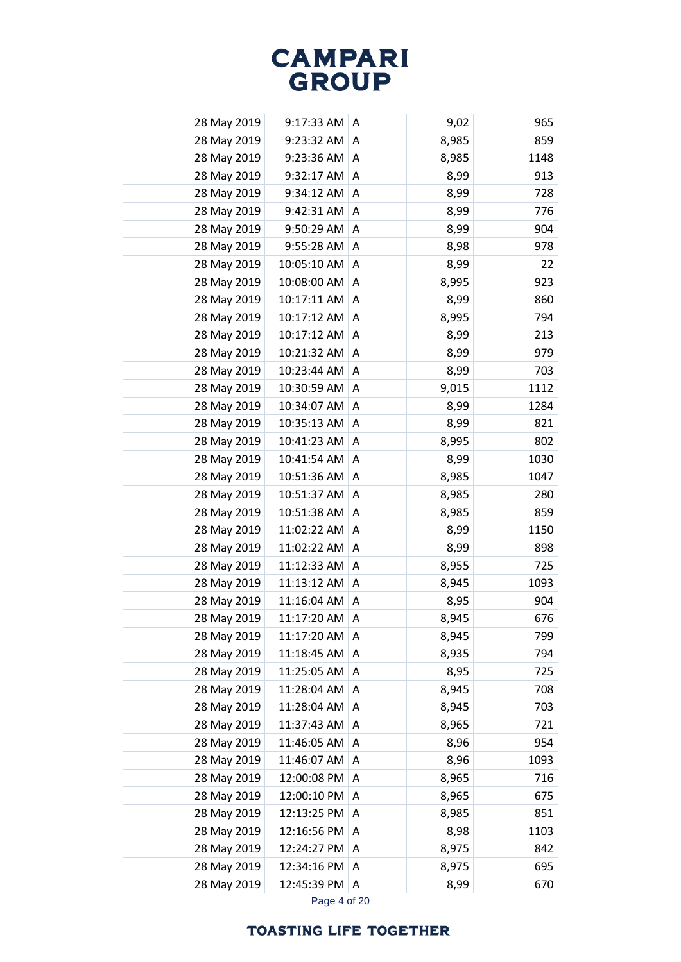| 28 May 2019 | 9:17:33 AM  | A | 9,02  | 965  |
|-------------|-------------|---|-------|------|
| 28 May 2019 | 9:23:32 AM  | Α | 8,985 | 859  |
| 28 May 2019 | 9:23:36 AM  | Α | 8,985 | 1148 |
| 28 May 2019 | 9:32:17 AM  | Α | 8,99  | 913  |
| 28 May 2019 | 9:34:12 AM  | Α | 8,99  | 728  |
| 28 May 2019 | 9:42:31 AM  | Α | 8,99  | 776  |
| 28 May 2019 | 9:50:29 AM  | Α | 8,99  | 904  |
| 28 May 2019 | 9:55:28 AM  | A | 8,98  | 978  |
| 28 May 2019 | 10:05:10 AM | A | 8,99  | 22   |
| 28 May 2019 | 10:08:00 AM | Α | 8,995 | 923  |
| 28 May 2019 | 10:17:11 AM | Α | 8,99  | 860  |
| 28 May 2019 | 10:17:12 AM | Α | 8,995 | 794  |
| 28 May 2019 | 10:17:12 AM | A | 8,99  | 213  |
| 28 May 2019 | 10:21:32 AM | Α | 8,99  | 979  |
| 28 May 2019 | 10:23:44 AM | Α | 8,99  | 703  |
| 28 May 2019 | 10:30:59 AM | Α | 9,015 | 1112 |
| 28 May 2019 | 10:34:07 AM | Α | 8,99  | 1284 |
| 28 May 2019 | 10:35:13 AM | A | 8,99  | 821  |
| 28 May 2019 | 10:41:23 AM | A | 8,995 | 802  |
| 28 May 2019 | 10:41:54 AM | Α | 8,99  | 1030 |
| 28 May 2019 | 10:51:36 AM | Α | 8,985 | 1047 |
| 28 May 2019 | 10:51:37 AM | Α | 8,985 | 280  |
| 28 May 2019 | 10:51:38 AM | A | 8,985 | 859  |
| 28 May 2019 | 11:02:22 AM | A | 8,99  | 1150 |
| 28 May 2019 | 11:02:22 AM | Α | 8,99  | 898  |
| 28 May 2019 | 11:12:33 AM | A | 8,955 | 725  |
| 28 May 2019 | 11:13:12 AM | Α | 8,945 | 1093 |
| 28 May 2019 | 11:16:04 AM | Α | 8,95  | 904  |
| 28 May 2019 | 11:17:20 AM | Α | 8,945 | 676  |
| 28 May 2019 | 11:17:20 AM | A | 8,945 | 799  |
| 28 May 2019 | 11:18:45 AM | Α | 8,935 | 794  |
| 28 May 2019 | 11:25:05 AM | Α | 8,95  | 725  |
| 28 May 2019 | 11:28:04 AM | Α | 8,945 | 708  |
| 28 May 2019 | 11:28:04 AM | Α | 8,945 | 703  |
| 28 May 2019 | 11:37:43 AM | Α | 8,965 | 721  |
| 28 May 2019 | 11:46:05 AM | Α | 8,96  | 954  |
| 28 May 2019 | 11:46:07 AM | Α | 8,96  | 1093 |
| 28 May 2019 | 12:00:08 PM | Α | 8,965 | 716  |
| 28 May 2019 | 12:00:10 PM | Α | 8,965 | 675  |
| 28 May 2019 | 12:13:25 PM | Α | 8,985 | 851  |
| 28 May 2019 | 12:16:56 PM | Α | 8,98  | 1103 |
| 28 May 2019 | 12:24:27 PM | A | 8,975 | 842  |
| 28 May 2019 | 12:34:16 PM | Α | 8,975 | 695  |
| 28 May 2019 | 12:45:39 PM | Α | 8,99  | 670  |
|             |             |   |       |      |

Page 4 of 20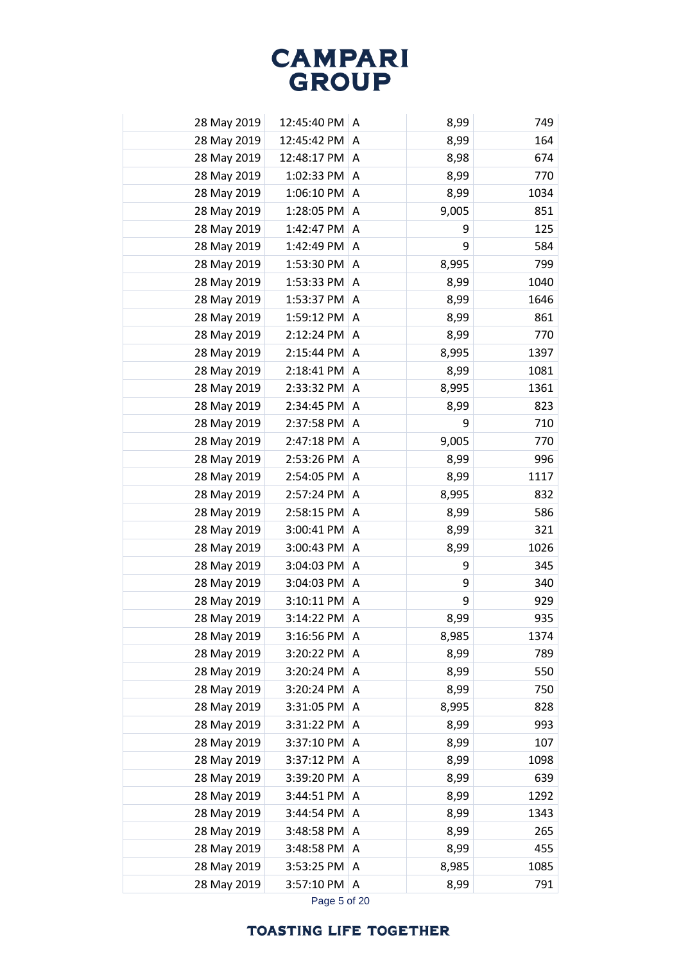| 28 May 2019 | 12:45:40 PM | A | 8,99  | 749  |
|-------------|-------------|---|-------|------|
| 28 May 2019 | 12:45:42 PM | A | 8,99  | 164  |
| 28 May 2019 | 12:48:17 PM | A | 8,98  | 674  |
| 28 May 2019 | 1:02:33 PM  | A | 8,99  | 770  |
| 28 May 2019 | 1:06:10 PM  | Α | 8,99  | 1034 |
| 28 May 2019 | 1:28:05 PM  | A | 9,005 | 851  |
| 28 May 2019 | 1:42:47 PM  | A | 9     | 125  |
| 28 May 2019 | 1:42:49 PM  | A | 9     | 584  |
| 28 May 2019 | 1:53:30 PM  | Α | 8,995 | 799  |
| 28 May 2019 | 1:53:33 PM  | Α | 8,99  | 1040 |
| 28 May 2019 | 1:53:37 PM  | A | 8,99  | 1646 |
| 28 May 2019 | 1:59:12 PM  | Α | 8,99  | 861  |
| 28 May 2019 | 2:12:24 PM  | A | 8,99  | 770  |
| 28 May 2019 | 2:15:44 PM  | A | 8,995 | 1397 |
| 28 May 2019 | 2:18:41 PM  | Α | 8,99  | 1081 |
| 28 May 2019 | 2:33:32 PM  | A | 8,995 | 1361 |
| 28 May 2019 | 2:34:45 PM  | A | 8,99  | 823  |
| 28 May 2019 | 2:37:58 PM  | Α | 9     | 710  |
| 28 May 2019 | 2:47:18 PM  | A | 9,005 | 770  |
| 28 May 2019 | 2:53:26 PM  | A | 8,99  | 996  |
| 28 May 2019 | 2:54:05 PM  | Α | 8,99  | 1117 |
| 28 May 2019 | 2:57:24 PM  | Α | 8,995 | 832  |
| 28 May 2019 | 2:58:15 PM  | A | 8,99  | 586  |
| 28 May 2019 | 3:00:41 PM  | Α | 8,99  | 321  |
| 28 May 2019 | 3:00:43 PM  | Α | 8,99  | 1026 |
| 28 May 2019 | 3:04:03 PM  | A | 9     | 345  |
| 28 May 2019 | 3:04:03 PM  | Α | 9     | 340  |
| 28 May 2019 | 3:10:11 PM  | Α | 9     | 929  |
| 28 May 2019 | 3:14:22 PM  | Α | 8,99  | 935  |
| 28 May 2019 | 3:16:56 PM  | A | 8,985 | 1374 |
| 28 May 2019 | 3:20:22 PM  | Α | 8,99  | 789  |
| 28 May 2019 | 3:20:24 PM  | Α | 8,99  | 550  |
| 28 May 2019 | 3:20:24 PM  | A | 8,99  | 750  |
| 28 May 2019 | 3:31:05 PM  | Α | 8,995 | 828  |
| 28 May 2019 | 3:31:22 PM  | Α | 8,99  | 993  |
| 28 May 2019 | 3:37:10 PM  | A | 8,99  | 107  |
| 28 May 2019 | 3:37:12 PM  | Α | 8,99  | 1098 |
| 28 May 2019 | 3:39:20 PM  | Α | 8,99  | 639  |
| 28 May 2019 | 3:44:51 PM  | Α | 8,99  | 1292 |
| 28 May 2019 | 3:44:54 PM  | Α | 8,99  | 1343 |
| 28 May 2019 | 3:48:58 PM  | A | 8,99  | 265  |
| 28 May 2019 | 3:48:58 PM  | A | 8,99  | 455  |
| 28 May 2019 | 3:53:25 PM  | Α | 8,985 | 1085 |
| 28 May 2019 | 3:57:10 PM  | Α | 8,99  | 791  |
|             |             |   |       |      |

Page 5 of 20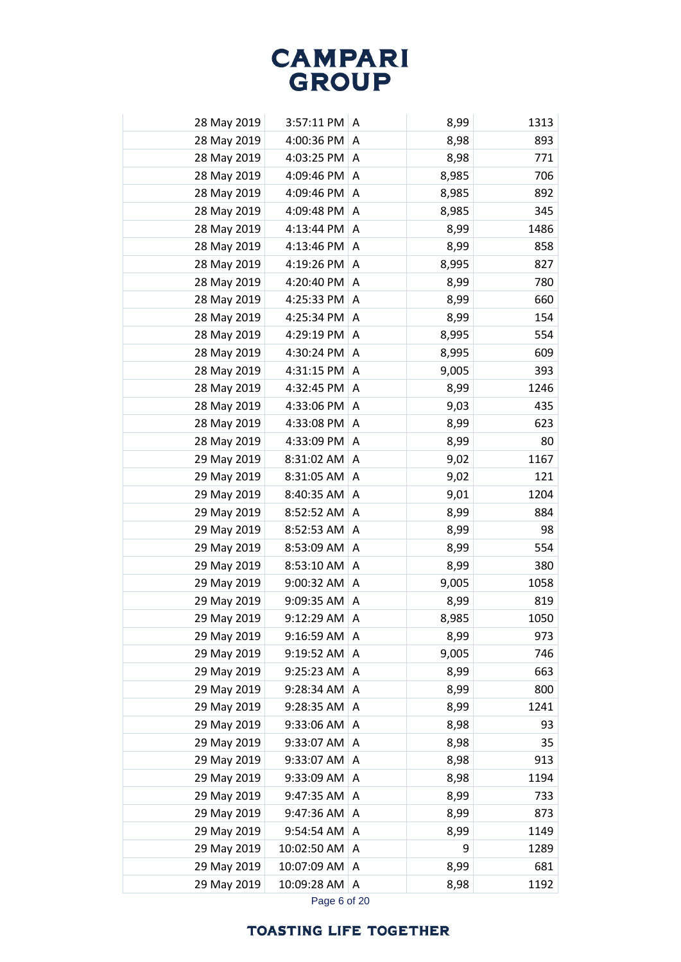| 28 May 2019 | 3:57:11 PM  | A | 8,99  | 1313 |
|-------------|-------------|---|-------|------|
| 28 May 2019 | 4:00:36 PM  | A | 8,98  | 893  |
| 28 May 2019 | 4:03:25 PM  | A | 8,98  | 771  |
| 28 May 2019 | 4:09:46 PM  | A | 8,985 | 706  |
| 28 May 2019 | 4:09:46 PM  | Α | 8,985 | 892  |
| 28 May 2019 | 4:09:48 PM  | A | 8,985 | 345  |
| 28 May 2019 | 4:13:44 PM  | A | 8,99  | 1486 |
| 28 May 2019 | 4:13:46 PM  | A | 8,99  | 858  |
| 28 May 2019 | 4:19:26 PM  | A | 8,995 | 827  |
| 28 May 2019 | 4:20:40 PM  | Α | 8,99  | 780  |
| 28 May 2019 | 4:25:33 PM  | A | 8,99  | 660  |
| 28 May 2019 | 4:25:34 PM  | Α | 8,99  | 154  |
| 28 May 2019 | 4:29:19 PM  | A | 8,995 | 554  |
| 28 May 2019 | 4:30:24 PM  | A | 8,995 | 609  |
| 28 May 2019 | 4:31:15 PM  | A | 9,005 | 393  |
| 28 May 2019 | 4:32:45 PM  | A | 8,99  | 1246 |
| 28 May 2019 | 4:33:06 PM  | A | 9,03  | 435  |
| 28 May 2019 | 4:33:08 PM  | A | 8,99  | 623  |
| 28 May 2019 | 4:33:09 PM  | A | 8,99  | 80   |
| 29 May 2019 | 8:31:02 AM  | A | 9,02  | 1167 |
| 29 May 2019 | 8:31:05 AM  | A | 9,02  | 121  |
| 29 May 2019 | 8:40:35 AM  | A | 9,01  | 1204 |
| 29 May 2019 | 8:52:52 AM  | A | 8,99  | 884  |
| 29 May 2019 | 8:52:53 AM  | Α | 8,99  | 98   |
| 29 May 2019 | 8:53:09 AM  | Α | 8,99  | 554  |
| 29 May 2019 | 8:53:10 AM  | A | 8,99  | 380  |
| 29 May 2019 | 9:00:32 AM  | A | 9,005 | 1058 |
| 29 May 2019 | 9:09:35 AM  | Α | 8,99  | 819  |
| 29 May 2019 | 9:12:29 AM  | Α | 8,985 | 1050 |
| 29 May 2019 | 9:16:59 AM  | A | 8,99  | 973  |
| 29 May 2019 | 9:19:52 AM  | A | 9,005 | 746  |
| 29 May 2019 | 9:25:23 AM  | Α | 8,99  | 663  |
| 29 May 2019 | 9:28:34 AM  | Α | 8,99  | 800  |
| 29 May 2019 | 9:28:35 AM  | A | 8,99  | 1241 |
| 29 May 2019 | 9:33:06 AM  | A | 8,98  | 93   |
| 29 May 2019 | 9:33:07 AM  | A | 8,98  | 35   |
| 29 May 2019 | 9:33:07 AM  | Α | 8,98  | 913  |
| 29 May 2019 | 9:33:09 AM  | A | 8,98  | 1194 |
| 29 May 2019 | 9:47:35 AM  | Α | 8,99  | 733  |
| 29 May 2019 | 9:47:36 AM  | Α | 8,99  | 873  |
| 29 May 2019 | 9:54:54 AM  | Α | 8,99  | 1149 |
| 29 May 2019 | 10:02:50 AM | Α | 9     | 1289 |
| 29 May 2019 | 10:07:09 AM | Α | 8,99  | 681  |
| 29 May 2019 | 10:09:28 AM | Α | 8,98  | 1192 |
|             |             |   |       |      |

Page 6 of 20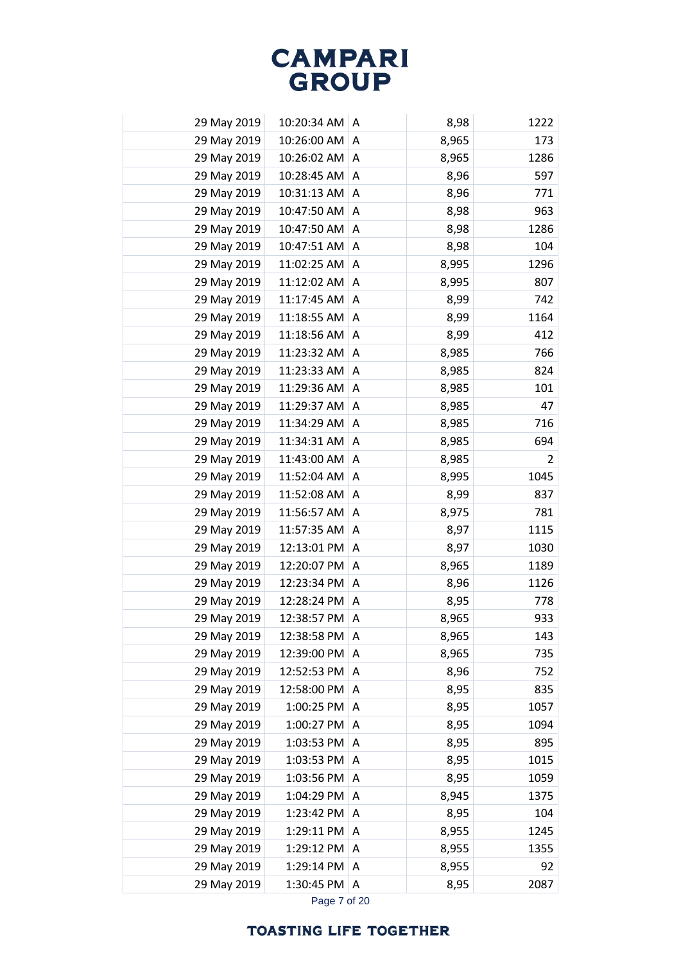| 29 May 2019 | 10:20:34 AM | A | 8,98  | 1222           |
|-------------|-------------|---|-------|----------------|
| 29 May 2019 | 10:26:00 AM | A | 8,965 | 173            |
| 29 May 2019 | 10:26:02 AM | Α | 8,965 | 1286           |
| 29 May 2019 | 10:28:45 AM | Α | 8,96  | 597            |
| 29 May 2019 | 10:31:13 AM | Α | 8,96  | 771            |
| 29 May 2019 | 10:47:50 AM | Α | 8,98  | 963            |
| 29 May 2019 | 10:47:50 AM | A | 8,98  | 1286           |
| 29 May 2019 | 10:47:51 AM | A | 8,98  | 104            |
| 29 May 2019 | 11:02:25 AM | A | 8,995 | 1296           |
| 29 May 2019 | 11:12:02 AM | A | 8,995 | 807            |
| 29 May 2019 | 11:17:45 AM | Α | 8,99  | 742            |
| 29 May 2019 | 11:18:55 AM | Α | 8,99  | 1164           |
| 29 May 2019 | 11:18:56 AM | Α | 8,99  | 412            |
| 29 May 2019 | 11:23:32 AM | Α | 8,985 | 766            |
| 29 May 2019 | 11:23:33 AM | Α | 8,985 | 824            |
| 29 May 2019 | 11:29:36 AM | Α | 8,985 | 101            |
| 29 May 2019 | 11:29:37 AM | Α | 8,985 | 47             |
| 29 May 2019 | 11:34:29 AM | A | 8,985 | 716            |
| 29 May 2019 | 11:34:31 AM | A | 8,985 | 694            |
| 29 May 2019 | 11:43:00 AM | Α | 8,985 | $\overline{2}$ |
| 29 May 2019 | 11:52:04 AM | Α | 8,995 | 1045           |
| 29 May 2019 | 11:52:08 AM | Α | 8,99  | 837            |
| 29 May 2019 | 11:56:57 AM | Α | 8,975 | 781            |
| 29 May 2019 | 11:57:35 AM | A | 8,97  | 1115           |
| 29 May 2019 | 12:13:01 PM | Α | 8,97  | 1030           |
| 29 May 2019 | 12:20:07 PM | A | 8,965 | 1189           |
| 29 May 2019 | 12:23:34 PM | A | 8,96  | 1126           |
| 29 May 2019 | 12:28:24 PM | Α | 8,95  | 778            |
| 29 May 2019 | 12:38:57 PM | Α | 8,965 | 933            |
| 29 May 2019 | 12:38:58 PM | A | 8,965 | 143            |
| 29 May 2019 | 12:39:00 PM | Α | 8,965 | 735            |
| 29 May 2019 | 12:52:53 PM | Α | 8,96  | 752            |
| 29 May 2019 | 12:58:00 PM | Α | 8,95  | 835            |
| 29 May 2019 | 1:00:25 PM  | A | 8,95  | 1057           |
| 29 May 2019 | 1:00:27 PM  | A | 8,95  | 1094           |
| 29 May 2019 | 1:03:53 PM  | A | 8,95  | 895            |
| 29 May 2019 | 1:03:53 PM  | Α | 8,95  | 1015           |
| 29 May 2019 | 1:03:56 PM  | Α | 8,95  | 1059           |
| 29 May 2019 | 1:04:29 PM  | A | 8,945 | 1375           |
| 29 May 2019 | 1:23:42 PM  | Α | 8,95  | 104            |
| 29 May 2019 | 1:29:11 PM  | Α | 8,955 | 1245           |
| 29 May 2019 | 1:29:12 PM  | A | 8,955 | 1355           |
| 29 May 2019 | 1:29:14 PM  | A | 8,955 | 92             |
| 29 May 2019 | 1:30:45 PM  | Α | 8,95  | 2087           |
|             |             |   |       |                |

Page 7 of 20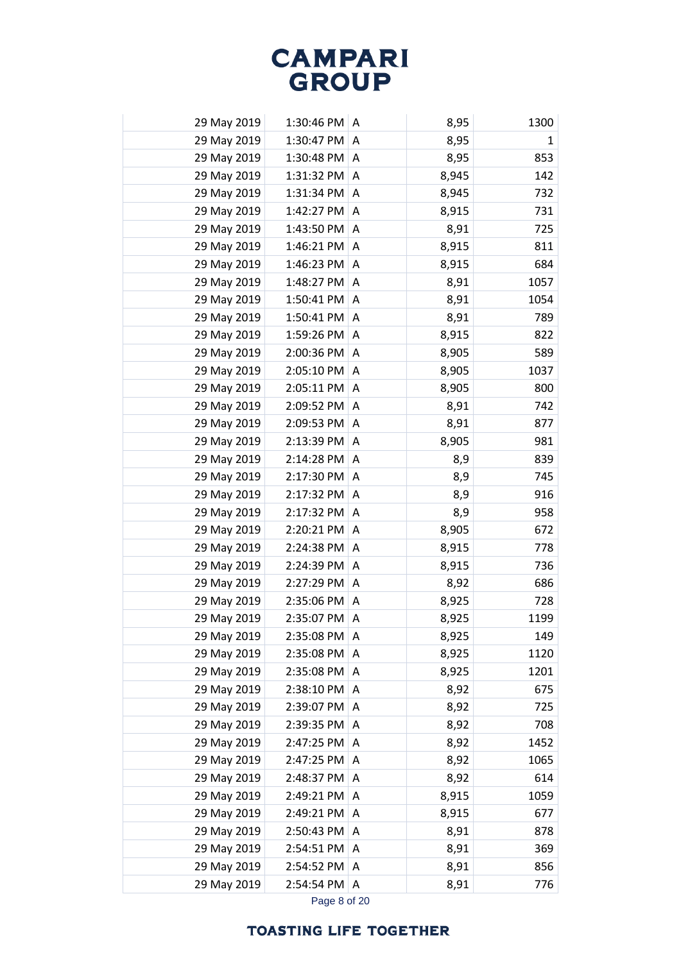| 29 May 2019 | 1:30:46 PM   | A              | 8,95  | 1300         |
|-------------|--------------|----------------|-------|--------------|
| 29 May 2019 | 1:30:47 PM   | A              | 8,95  | $\mathbf{1}$ |
| 29 May 2019 | 1:30:48 PM   | A              | 8,95  | 853          |
| 29 May 2019 | 1:31:32 PM   | A              | 8,945 | 142          |
| 29 May 2019 | 1:31:34 PM   | A              | 8,945 | 732          |
| 29 May 2019 | 1:42:27 PM   | $\overline{A}$ | 8,915 | 731          |
| 29 May 2019 | 1:43:50 PM   | A              | 8,91  | 725          |
| 29 May 2019 | 1:46:21 PM   | A              | 8,915 | 811          |
| 29 May 2019 | 1:46:23 PM   | A              | 8,915 | 684          |
| 29 May 2019 | 1:48:27 PM   | A              | 8,91  | 1057         |
| 29 May 2019 | 1:50:41 PM   | A              | 8,91  | 1054         |
| 29 May 2019 | $1:50:41$ PM | A              | 8,91  | 789          |
| 29 May 2019 | 1:59:26 PM   | A              | 8,915 | 822          |
| 29 May 2019 | 2:00:36 PM   | A              | 8,905 | 589          |
| 29 May 2019 | 2:05:10 PM   | A              | 8,905 | 1037         |
| 29 May 2019 | 2:05:11 PM   | A              | 8,905 | 800          |
| 29 May 2019 | 2:09:52 PM   | A              | 8,91  | 742          |
| 29 May 2019 | 2:09:53 PM   | A              | 8,91  | 877          |
| 29 May 2019 | $2:13:39$ PM | A              | 8,905 | 981          |
| 29 May 2019 | 2:14:28 PM   | A              | 8,9   | 839          |
| 29 May 2019 | 2:17:30 PM   | Α              | 8,9   | 745          |
| 29 May 2019 | 2:17:32 PM   | A              | 8,9   | 916          |
| 29 May 2019 | 2:17:32 PM   | A              | 8,9   | 958          |
| 29 May 2019 | 2:20:21 PM   | A              | 8,905 | 672          |
| 29 May 2019 | 2:24:38 PM   | A              | 8,915 | 778          |
| 29 May 2019 | 2:24:39 PM   | A              | 8,915 | 736          |
| 29 May 2019 | 2:27:29 PM   | A              | 8,92  | 686          |
| 29 May 2019 | 2:35:06 PM A |                | 8,925 | 728          |
| 29 May 2019 | 2:35:07 PM A |                | 8,925 | 1199         |
| 29 May 2019 | 2:35:08 PM   | A              | 8,925 | 149          |
| 29 May 2019 | 2:35:08 PM   | A              | 8,925 | 1120         |
| 29 May 2019 | 2:35:08 PM   | A              | 8,925 | 1201         |
| 29 May 2019 | 2:38:10 PM   | A              | 8,92  | 675          |
| 29 May 2019 | 2:39:07 PM   | A              | 8,92  | 725          |
| 29 May 2019 | 2:39:35 PM   | A              | 8,92  | 708          |
| 29 May 2019 | 2:47:25 PM   | A              | 8,92  | 1452         |
| 29 May 2019 | 2:47:25 PM   | Α              | 8,92  | 1065         |
| 29 May 2019 | 2:48:37 PM   | Α              | 8,92  | 614          |
| 29 May 2019 | 2:49:21 PM   | A              | 8,915 | 1059         |
| 29 May 2019 | 2:49:21 PM   | A              | 8,915 | 677          |
| 29 May 2019 | 2:50:43 PM   | A              | 8,91  | 878          |
| 29 May 2019 | 2:54:51 PM   | A              | 8,91  | 369          |
| 29 May 2019 | 2:54:52 PM   | Α              | 8,91  | 856          |
| 29 May 2019 | 2:54:54 PM   | Α              | 8,91  | 776          |
|             |              |                |       |              |

Page 8 of 20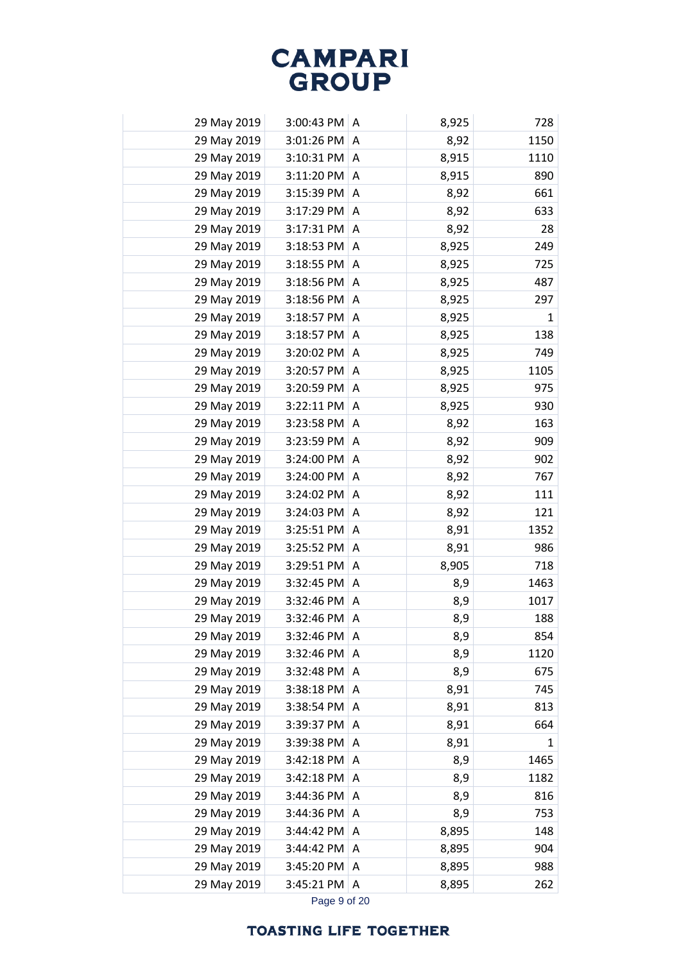| 29 May 2019 | 3:00:43 PM | A | 8,925 | 728          |
|-------------|------------|---|-------|--------------|
| 29 May 2019 | 3:01:26 PM | A | 8,92  | 1150         |
| 29 May 2019 | 3:10:31 PM | A | 8,915 | 1110         |
| 29 May 2019 | 3:11:20 PM | A | 8,915 | 890          |
| 29 May 2019 | 3:15:39 PM | A | 8,92  | 661          |
| 29 May 2019 | 3:17:29 PM | A | 8,92  | 633          |
| 29 May 2019 | 3:17:31 PM | A | 8,92  | 28           |
| 29 May 2019 | 3:18:53 PM | Α | 8,925 | 249          |
| 29 May 2019 | 3:18:55 PM | A | 8,925 | 725          |
| 29 May 2019 | 3:18:56 PM | A | 8,925 | 487          |
| 29 May 2019 | 3:18:56 PM | A | 8,925 | 297          |
| 29 May 2019 | 3:18:57 PM | A | 8,925 | $\mathbf{1}$ |
| 29 May 2019 | 3:18:57 PM | A | 8,925 | 138          |
| 29 May 2019 | 3:20:02 PM | A | 8,925 | 749          |
| 29 May 2019 | 3:20:57 PM | A | 8,925 | 1105         |
| 29 May 2019 | 3:20:59 PM | A | 8,925 | 975          |
| 29 May 2019 | 3:22:11 PM | A | 8,925 | 930          |
| 29 May 2019 | 3:23:58 PM | A | 8,92  | 163          |
| 29 May 2019 | 3:23:59 PM | A | 8,92  | 909          |
| 29 May 2019 | 3:24:00 PM | A | 8,92  | 902          |
| 29 May 2019 | 3:24:00 PM | A | 8,92  | 767          |
| 29 May 2019 | 3:24:02 PM | Α | 8,92  | 111          |
| 29 May 2019 | 3:24:03 PM | A | 8,92  | 121          |
| 29 May 2019 | 3:25:51 PM | A | 8,91  | 1352         |
| 29 May 2019 | 3:25:52 PM | Α | 8,91  | 986          |
| 29 May 2019 | 3:29:51 PM | A | 8,905 | 718          |
| 29 May 2019 | 3:32:45 PM | A | 8,9   | 1463         |
| 29 May 2019 | 3:32:46 PM | A | 8,9   | 1017         |
| 29 May 2019 | 3:32:46 PM | Α | 8,9   | 188          |
| 29 May 2019 | 3:32:46 PM | A | 8,9   | 854          |
| 29 May 2019 | 3:32:46 PM | Α | 8,9   | 1120         |
| 29 May 2019 | 3:32:48 PM | Α | 8,9   | 675          |
| 29 May 2019 | 3:38:18 PM | Α | 8,91  | 745          |
| 29 May 2019 | 3:38:54 PM | Α | 8,91  | 813          |
| 29 May 2019 | 3:39:37 PM | Α | 8,91  | 664          |
| 29 May 2019 | 3:39:38 PM | Α | 8,91  | $\mathbf{1}$ |
| 29 May 2019 | 3:42:18 PM | Α | 8,9   | 1465         |
| 29 May 2019 | 3:42:18 PM | A | 8,9   | 1182         |
| 29 May 2019 | 3:44:36 PM | A | 8,9   | 816          |
| 29 May 2019 | 3:44:36 PM | A | 8,9   | 753          |
| 29 May 2019 | 3:44:42 PM | A | 8,895 | 148          |
| 29 May 2019 | 3:44:42 PM | Α | 8,895 | 904          |
| 29 May 2019 | 3:45:20 PM | Α | 8,895 | 988          |
| 29 May 2019 | 3:45:21 PM | Α | 8,895 | 262          |
|             |            |   |       |              |

Page 9 of 20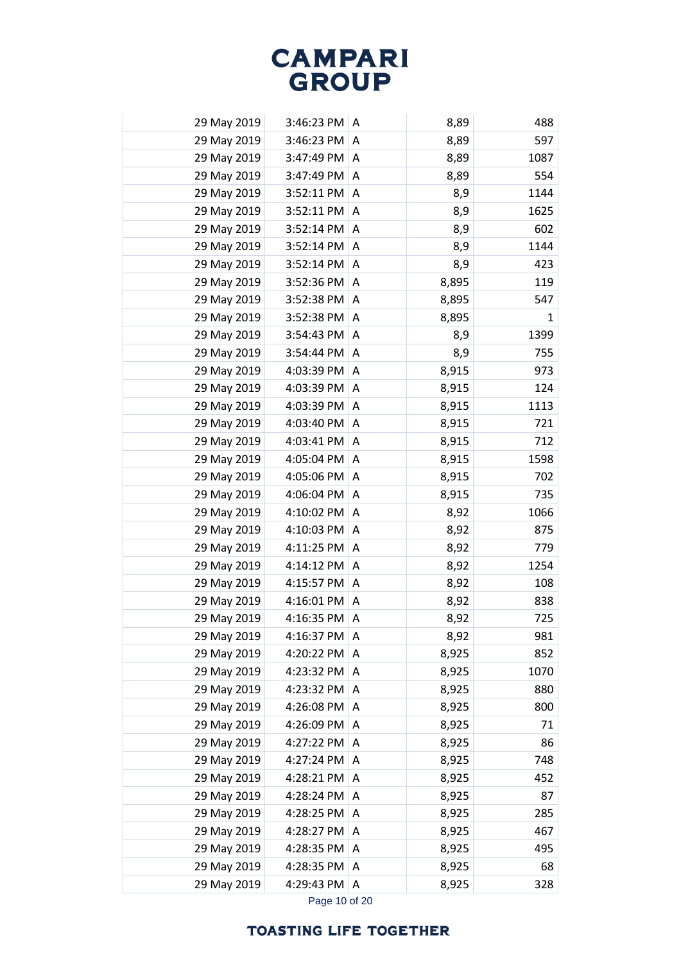|             | 29 May 2019 | 3:46:23 PM | A | 8,89  | 488          |
|-------------|-------------|------------|---|-------|--------------|
| 29 May 2019 |             | 3:46:23 PM | A | 8,89  | 597          |
| 29 May 2019 |             | 3:47:49 PM | A | 8,89  | 1087         |
|             | 29 May 2019 | 3:47:49 PM | A | 8,89  | 554          |
| 29 May 2019 |             | 3:52:11 PM | Α | 8,9   | 1144         |
|             | 29 May 2019 | 3:52:11 PM | A | 8,9   | 1625         |
| 29 May 2019 |             | 3:52:14 PM | A | 8,9   | 602          |
| 29 May 2019 |             | 3:52:14 PM | A | 8,9   | 1144         |
|             | 29 May 2019 | 3:52:14 PM | A | 8,9   | 423          |
|             | 29 May 2019 | 3:52:36 PM | Α | 8,895 | 119          |
| 29 May 2019 |             | 3:52:38 PM | A | 8,895 | 547          |
|             | 29 May 2019 | 3:52:38 PM | A | 8,895 | $\mathbf{1}$ |
| 29 May 2019 |             | 3:54:43 PM | A | 8,9   | 1399         |
| 29 May 2019 |             | 3:54:44 PM | A | 8,9   | 755          |
| 29 May 2019 |             | 4:03:39 PM | A | 8,915 | 973          |
|             | 29 May 2019 | 4:03:39 PM | A | 8,915 | 124          |
|             | 29 May 2019 | 4:03:39 PM | A | 8,915 | 1113         |
| 29 May 2019 |             | 4:03:40 PM | A | 8,915 | 721          |
| 29 May 2019 |             | 4:03:41 PM | Α | 8,915 | 712          |
| 29 May 2019 |             | 4:05:04 PM | A | 8,915 | 1598         |
|             | 29 May 2019 | 4:05:06 PM | A | 8,915 | 702          |
|             | 29 May 2019 | 4:06:04 PM | A | 8,915 | 735          |
| 29 May 2019 |             | 4:10:02 PM | A | 8,92  | 1066         |
| 29 May 2019 |             | 4:10:03 PM | A | 8,92  | 875          |
| 29 May 2019 |             | 4:11:25 PM | A | 8,92  | 779          |
| 29 May 2019 |             | 4:14:12 PM | A | 8,92  | 1254         |
|             | 29 May 2019 | 4:15:57 PM | A | 8,92  | 108          |
| 29 May 2019 |             | 4:16:01 PM | A | 8,92  | 838          |
|             | 29 May 2019 | 4:16:35 PM | Α | 8,92  | 725          |
|             | 29 May 2019 | 4:16:37 PM | Α | 8,92  | 981          |
|             | 29 May 2019 | 4:20:22 PM | A | 8,925 | 852          |
| 29 May 2019 |             | 4:23:32 PM | A | 8,925 | 1070         |
|             | 29 May 2019 | 4:23:32 PM | A | 8,925 | 880          |
| 29 May 2019 |             | 4:26:08 PM | Α | 8,925 | 800          |
|             | 29 May 2019 | 4:26:09 PM | Α | 8,925 | 71           |
| 29 May 2019 |             | 4:27:22 PM | Α | 8,925 | 86           |
| 29 May 2019 |             | 4:27:24 PM | A | 8,925 | 748          |
|             | 29 May 2019 | 4:28:21 PM | A | 8,925 | 452          |
| 29 May 2019 |             | 4:28:24 PM | Α | 8,925 | 87           |
| 29 May 2019 |             | 4:28:25 PM | A | 8,925 | 285          |
| 29 May 2019 |             | 4:28:27 PM | A | 8,925 | 467          |
| 29 May 2019 |             | 4:28:35 PM | A | 8,925 | 495          |
| 29 May 2019 |             | 4:28:35 PM | Α | 8,925 | 68           |
| 29 May 2019 |             | 4:29:43 PM | A | 8,925 | 328          |
|             |             |            |   |       |              |

Page 10 of 20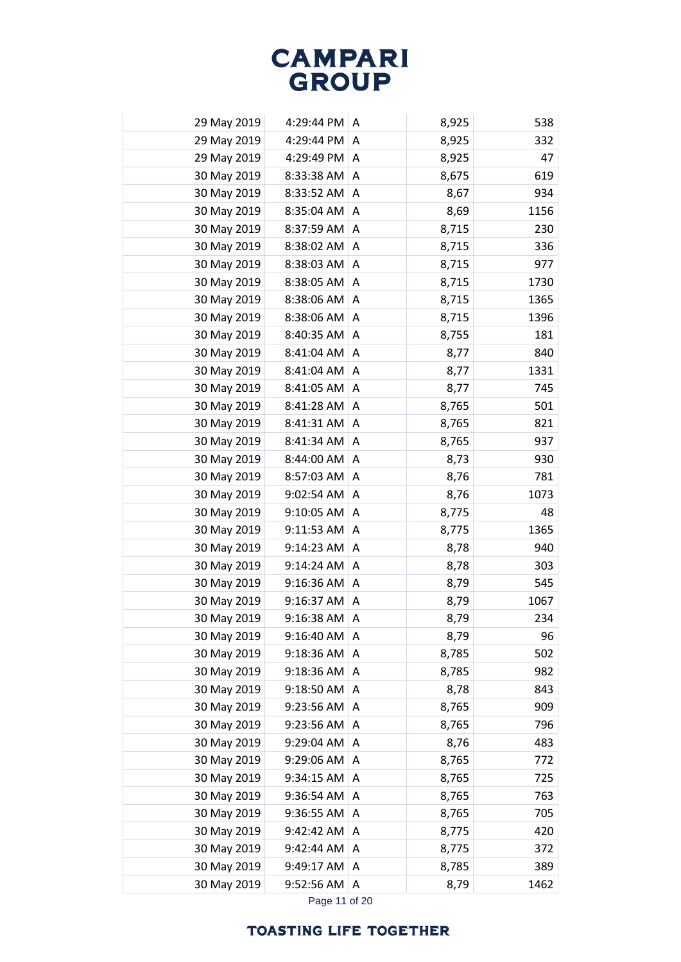| 29 May 2019 | 4:29:44 PM | A | 8,925 | 538  |
|-------------|------------|---|-------|------|
| 29 May 2019 | 4:29:44 PM | A | 8,925 | 332  |
| 29 May 2019 | 4:29:49 PM | Α | 8,925 | 47   |
| 30 May 2019 | 8:33:38 AM | A | 8,675 | 619  |
| 30 May 2019 | 8:33:52 AM | Α | 8,67  | 934  |
| 30 May 2019 | 8:35:04 AM | Α | 8,69  | 1156 |
| 30 May 2019 | 8:37:59 AM | Α | 8,715 | 230  |
| 30 May 2019 | 8:38:02 AM | A | 8,715 | 336  |
| 30 May 2019 | 8:38:03 AM | Α | 8,715 | 977  |
| 30 May 2019 | 8:38:05 AM | Α | 8,715 | 1730 |
| 30 May 2019 | 8:38:06 AM | Α | 8,715 | 1365 |
| 30 May 2019 | 8:38:06 AM | Α | 8,715 | 1396 |
| 30 May 2019 | 8:40:35 AM | Α | 8,755 | 181  |
| 30 May 2019 | 8:41:04 AM | A | 8,77  | 840  |
| 30 May 2019 | 8:41:04 AM | Α | 8,77  | 1331 |
| 30 May 2019 | 8:41:05 AM | Α | 8,77  | 745  |
| 30 May 2019 | 8:41:28 AM | Α | 8,765 | 501  |
| 30 May 2019 | 8:41:31 AM | Α | 8,765 | 821  |
| 30 May 2019 | 8:41:34 AM | Α | 8,765 | 937  |
| 30 May 2019 | 8:44:00 AM | Α | 8,73  | 930  |
| 30 May 2019 | 8:57:03 AM | Α | 8,76  | 781  |
| 30 May 2019 | 9:02:54 AM | Α | 8,76  | 1073 |
| 30 May 2019 | 9:10:05 AM | Α | 8,775 | 48   |
| 30 May 2019 | 9:11:53 AM | Α | 8,775 | 1365 |
| 30 May 2019 | 9:14:23 AM | Α | 8,78  | 940  |
| 30 May 2019 | 9:14:24 AM | Α | 8,78  | 303  |
| 30 May 2019 | 9:16:36 AM | A | 8,79  | 545  |
| 30 May 2019 | 9:16:37 AM | Α | 8,79  | 1067 |
| 30 May 2019 | 9:16:38 AM | Α | 8,79  | 234  |
| 30 May 2019 | 9:16:40 AM | A | 8,79  | 96   |
| 30 May 2019 | 9:18:36 AM | Α | 8,785 | 502  |
| 30 May 2019 | 9:18:36 AM | Α | 8,785 | 982  |
| 30 May 2019 | 9:18:50 AM | Α | 8,78  | 843  |
| 30 May 2019 | 9:23:56 AM | Α | 8,765 | 909  |
| 30 May 2019 | 9:23:56 AM | Α | 8,765 | 796  |
| 30 May 2019 | 9:29:04 AM | A | 8,76  | 483  |
| 30 May 2019 | 9:29:06 AM | Α | 8,765 | 772  |
| 30 May 2019 | 9:34:15 AM | Α | 8,765 | 725  |
| 30 May 2019 | 9:36:54 AM | Α | 8,765 | 763  |
| 30 May 2019 | 9:36:55 AM | Α | 8,765 | 705  |
| 30 May 2019 | 9:42:42 AM | A | 8,775 | 420  |
| 30 May 2019 | 9:42:44 AM | A | 8,775 | 372  |
| 30 May 2019 | 9:49:17 AM | Α | 8,785 | 389  |
| 30 May 2019 | 9:52:56 AM | A | 8,79  | 1462 |
|             |            |   |       |      |

Page 11 of 20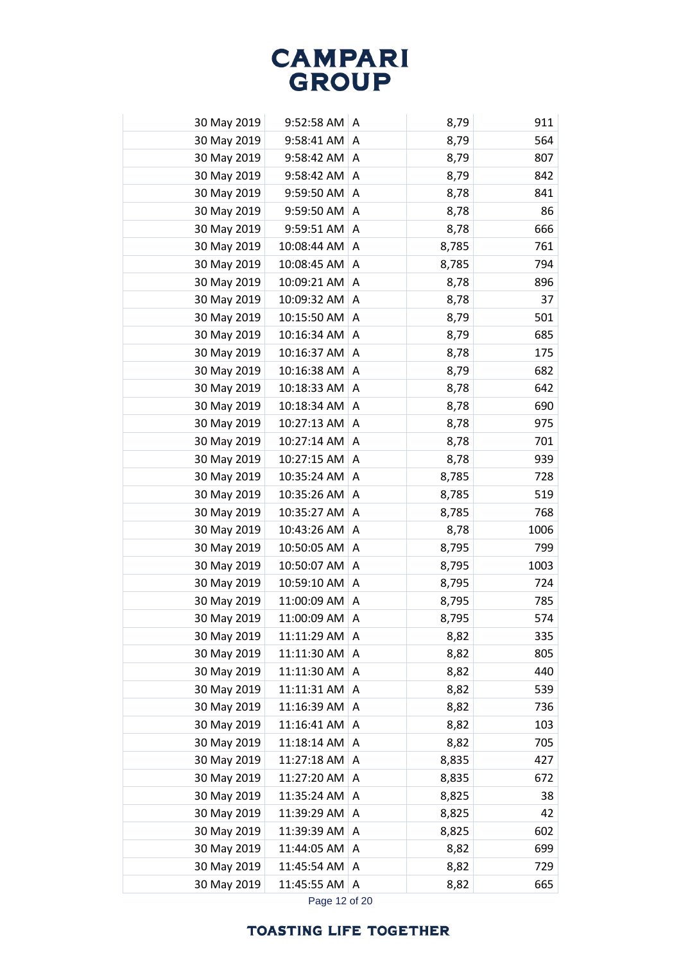| 30 May 2019 | 9:52:58 AM  | A | 8,79  | 911  |
|-------------|-------------|---|-------|------|
| 30 May 2019 | 9:58:41 AM  | Α | 8,79  | 564  |
| 30 May 2019 | 9:58:42 AM  | A | 8,79  | 807  |
| 30 May 2019 | 9:58:42 AM  | Α | 8,79  | 842  |
| 30 May 2019 | 9:59:50 AM  | A | 8,78  | 841  |
| 30 May 2019 | 9:59:50 AM  | A | 8,78  | 86   |
| 30 May 2019 | 9:59:51 AM  | Α | 8,78  | 666  |
| 30 May 2019 | 10:08:44 AM | Α | 8,785 | 761  |
| 30 May 2019 | 10:08:45 AM | A | 8,785 | 794  |
| 30 May 2019 | 10:09:21 AM | A | 8,78  | 896  |
| 30 May 2019 | 10:09:32 AM | Α | 8,78  | 37   |
| 30 May 2019 | 10:15:50 AM | Α | 8,79  | 501  |
| 30 May 2019 | 10:16:34 AM | A | 8,79  | 685  |
| 30 May 2019 | 10:16:37 AM | Α | 8,78  | 175  |
| 30 May 2019 | 10:16:38 AM | Α | 8,79  | 682  |
| 30 May 2019 | 10:18:33 AM | A | 8,78  | 642  |
| 30 May 2019 | 10:18:34 AM | A | 8,78  | 690  |
| 30 May 2019 | 10:27:13 AM | Α | 8,78  | 975  |
| 30 May 2019 | 10:27:14 AM | Α | 8,78  | 701  |
| 30 May 2019 | 10:27:15 AM | A | 8,78  | 939  |
| 30 May 2019 | 10:35:24 AM | A | 8,785 | 728  |
| 30 May 2019 | 10:35:26 AM | A | 8,785 | 519  |
| 30 May 2019 | 10:35:27 AM | Α | 8,785 | 768  |
| 30 May 2019 | 10:43:26 AM | Α | 8,78  | 1006 |
| 30 May 2019 | 10:50:05 AM | Α | 8,795 | 799  |
| 30 May 2019 | 10:50:07 AM | A | 8,795 | 1003 |
| 30 May 2019 | 10:59:10 AM | A | 8,795 | 724  |
| 30 May 2019 | 11:00:09 AM | Α | 8,795 | 785  |
| 30 May 2019 | 11:00:09 AM | A | 8,795 | 574  |
| 30 May 2019 | 11:11:29 AM | A | 8,82  | 335  |
| 30 May 2019 | 11:11:30 AM | Α | 8,82  | 805  |
| 30 May 2019 | 11:11:30 AM | Α | 8,82  | 440  |
| 30 May 2019 | 11:11:31 AM | Α | 8,82  | 539  |
| 30 May 2019 | 11:16:39 AM | Α | 8,82  | 736  |
| 30 May 2019 | 11:16:41 AM | Α | 8,82  | 103  |
| 30 May 2019 | 11:18:14 AM | A | 8,82  | 705  |
| 30 May 2019 | 11:27:18 AM | Α | 8,835 | 427  |
| 30 May 2019 | 11:27:20 AM | A | 8,835 | 672  |
| 30 May 2019 | 11:35:24 AM | Α | 8,825 | 38   |
| 30 May 2019 | 11:39:29 AM | Α | 8,825 | 42   |
| 30 May 2019 | 11:39:39 AM | Α | 8,825 | 602  |
| 30 May 2019 | 11:44:05 AM | Α | 8,82  | 699  |
| 30 May 2019 | 11:45:54 AM | Α | 8,82  | 729  |
| 30 May 2019 | 11:45:55 AM | A | 8,82  | 665  |
|             |             |   |       |      |

Page 12 of 20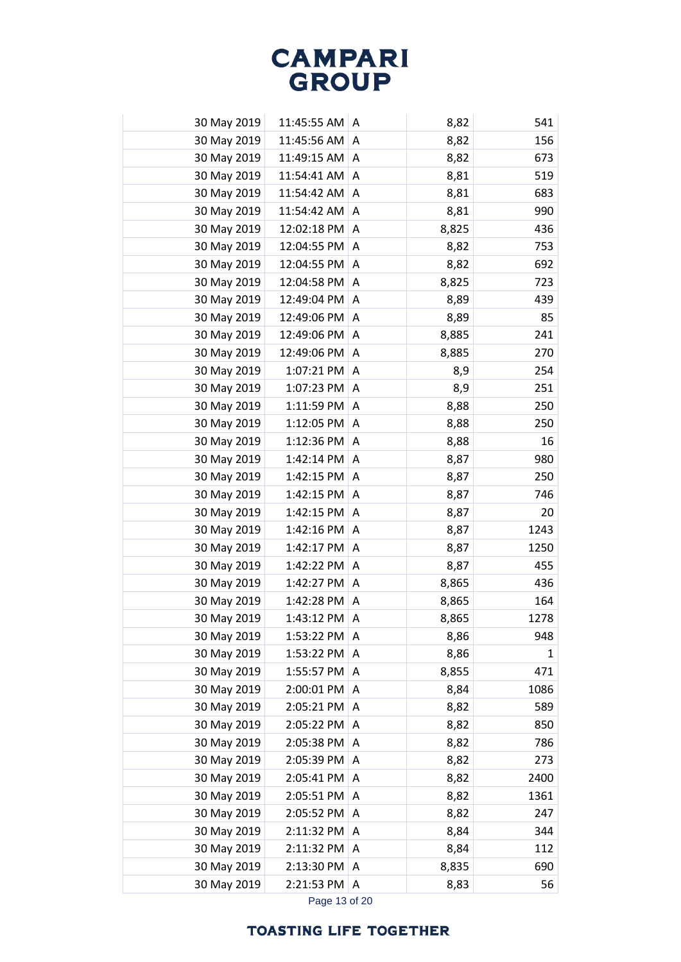| 30 May 2019 | 11:45:55 AM | A | 8,82  | 541          |
|-------------|-------------|---|-------|--------------|
| 30 May 2019 | 11:45:56 AM | Α | 8,82  | 156          |
| 30 May 2019 | 11:49:15 AM | Α | 8,82  | 673          |
| 30 May 2019 | 11:54:41 AM | A | 8,81  | 519          |
| 30 May 2019 | 11:54:42 AM | Α | 8,81  | 683          |
| 30 May 2019 | 11:54:42 AM | A | 8,81  | 990          |
| 30 May 2019 | 12:02:18 PM | Α | 8,825 | 436          |
| 30 May 2019 | 12:04:55 PM | Α | 8,82  | 753          |
| 30 May 2019 | 12:04:55 PM | A | 8,82  | 692          |
| 30 May 2019 | 12:04:58 PM | Α | 8,825 | 723          |
| 30 May 2019 | 12:49:04 PM | Α | 8,89  | 439          |
| 30 May 2019 | 12:49:06 PM | Α | 8,89  | 85           |
| 30 May 2019 | 12:49:06 PM | Α | 8,885 | 241          |
| 30 May 2019 | 12:49:06 PM | Α | 8,885 | 270          |
| 30 May 2019 | 1:07:21 PM  | Α | 8,9   | 254          |
| 30 May 2019 | 1:07:23 PM  | A | 8,9   | 251          |
| 30 May 2019 | 1:11:59 PM  | A | 8,88  | 250          |
| 30 May 2019 | 1:12:05 PM  | A | 8,88  | 250          |
| 30 May 2019 | 1:12:36 PM  | Α | 8,88  | 16           |
| 30 May 2019 | 1:42:14 PM  | A | 8,87  | 980          |
| 30 May 2019 | 1:42:15 PM  | A | 8,87  | 250          |
| 30 May 2019 | 1:42:15 PM  | Α | 8,87  | 746          |
| 30 May 2019 | 1:42:15 PM  | Α | 8,87  | 20           |
| 30 May 2019 | 1:42:16 PM  | Α | 8,87  | 1243         |
| 30 May 2019 | 1:42:17 PM  | Α | 8,87  | 1250         |
| 30 May 2019 | 1:42:22 PM  | Α | 8,87  | 455          |
| 30 May 2019 | 1:42:27 PM  | A | 8,865 | 436          |
| 30 May 2019 | 1:42:28 PM  | Α | 8,865 | 164          |
| 30 May 2019 | 1:43:12 PM  | Α | 8,865 | 1278         |
| 30 May 2019 | 1:53:22 PM  | Α | 8,86  | 948          |
| 30 May 2019 | 1:53:22 PM  | A | 8,86  | $\mathbf{1}$ |
| 30 May 2019 | 1:55:57 PM  | A | 8,855 | 471          |
| 30 May 2019 | 2:00:01 PM  | A | 8,84  | 1086         |
| 30 May 2019 | 2:05:21 PM  | Α | 8,82  | 589          |
| 30 May 2019 | 2:05:22 PM  | Α | 8,82  | 850          |
| 30 May 2019 | 2:05:38 PM  | Α | 8,82  | 786          |
| 30 May 2019 | 2:05:39 PM  | Α | 8,82  | 273          |
| 30 May 2019 | 2:05:41 PM  | Α | 8,82  | 2400         |
| 30 May 2019 | 2:05:51 PM  | Α | 8,82  | 1361         |
| 30 May 2019 | 2:05:52 PM  | A | 8,82  | 247          |
| 30 May 2019 | 2:11:32 PM  | Α | 8,84  | 344          |
| 30 May 2019 | 2:11:32 PM  | Α | 8,84  | 112          |
| 30 May 2019 | 2:13:30 PM  | A | 8,835 | 690          |
| 30 May 2019 | 2:21:53 PM  | A | 8,83  | 56           |
|             |             |   |       |              |

Page 13 of 20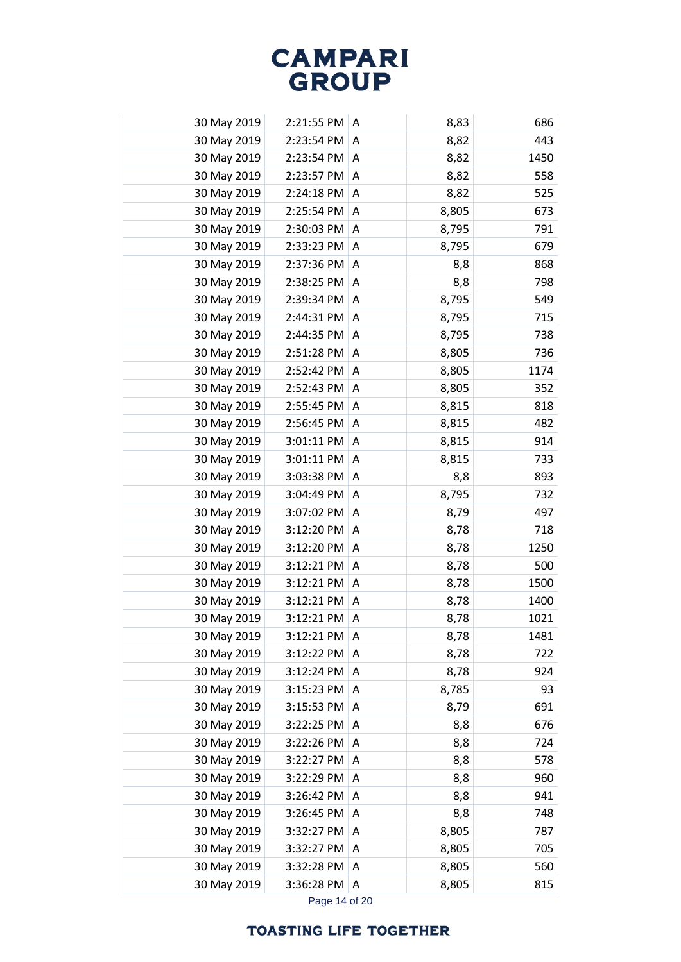| 30 May 2019 | 2:21:55 PM | A              | 8,83  | 686  |
|-------------|------------|----------------|-------|------|
| 30 May 2019 | 2:23:54 PM | A              | 8,82  | 443  |
| 30 May 2019 | 2:23:54 PM | A              | 8,82  | 1450 |
| 30 May 2019 | 2:23:57 PM | A              | 8,82  | 558  |
| 30 May 2019 | 2:24:18 PM | A              | 8,82  | 525  |
| 30 May 2019 | 2:25:54 PM | A              | 8,805 | 673  |
| 30 May 2019 | 2:30:03 PM | A              | 8,795 | 791  |
| 30 May 2019 | 2:33:23 PM | A              | 8,795 | 679  |
| 30 May 2019 | 2:37:36 PM | A              | 8,8   | 868  |
| 30 May 2019 | 2:38:25 PM | A              | 8,8   | 798  |
| 30 May 2019 | 2:39:34 PM | A              | 8,795 | 549  |
| 30 May 2019 | 2:44:31 PM | A              | 8,795 | 715  |
| 30 May 2019 | 2:44:35 PM | A              | 8,795 | 738  |
| 30 May 2019 | 2:51:28 PM | Α              | 8,805 | 736  |
| 30 May 2019 | 2:52:42 PM | A              | 8,805 | 1174 |
| 30 May 2019 | 2:52:43 PM | A              | 8,805 | 352  |
| 30 May 2019 | 2:55:45 PM | A              | 8,815 | 818  |
| 30 May 2019 | 2:56:45 PM | A              | 8,815 | 482  |
| 30 May 2019 | 3:01:11 PM | A              | 8,815 | 914  |
| 30 May 2019 | 3:01:11 PM | A              | 8,815 | 733  |
| 30 May 2019 | 3:03:38 PM | A              | 8,8   | 893  |
| 30 May 2019 | 3:04:49 PM | A              | 8,795 | 732  |
| 30 May 2019 | 3:07:02 PM | A              | 8,79  | 497  |
| 30 May 2019 | 3:12:20 PM | Α              | 8,78  | 718  |
| 30 May 2019 | 3:12:20 PM | A              | 8,78  | 1250 |
| 30 May 2019 | 3:12:21 PM | A              | 8,78  | 500  |
| 30 May 2019 | 3:12:21 PM | A              | 8,78  | 1500 |
| 30 May 2019 | 3:12:21 PM | $\overline{A}$ | 8,78  | 1400 |
| 30 May 2019 | 3:12:21 PM | A              | 8,78  | 1021 |
| 30 May 2019 | 3:12:21 PM | A              | 8,78  | 1481 |
| 30 May 2019 | 3:12:22 PM | Α              | 8,78  | 722  |
| 30 May 2019 | 3:12:24 PM | A              | 8,78  | 924  |
| 30 May 2019 | 3:15:23 PM | Α              | 8,785 | 93   |
| 30 May 2019 | 3:15:53 PM | A              | 8,79  | 691  |
| 30 May 2019 | 3:22:25 PM | A              | 8,8   | 676  |
| 30 May 2019 | 3:22:26 PM | A              | 8,8   | 724  |
| 30 May 2019 | 3:22:27 PM | Α              | 8,8   | 578  |
| 30 May 2019 | 3:22:29 PM | Α              | 8,8   | 960  |
| 30 May 2019 | 3:26:42 PM | Α              | 8,8   | 941  |
| 30 May 2019 | 3:26:45 PM | A              | 8,8   | 748  |
| 30 May 2019 | 3:32:27 PM | A              | 8,805 | 787  |
| 30 May 2019 | 3:32:27 PM | A              | 8,805 | 705  |
| 30 May 2019 | 3:32:28 PM | Α              | 8,805 | 560  |
| 30 May 2019 | 3:36:28 PM | Α              | 8,805 | 815  |
|             |            |                |       |      |

Page 14 of 20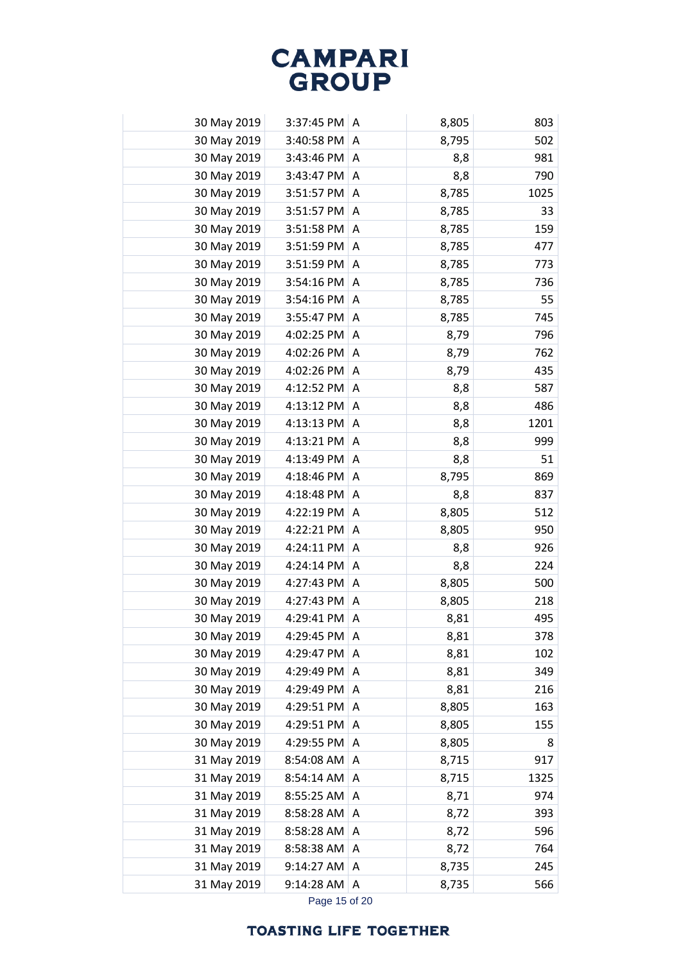| 30 May 2019 | 3:37:45 PM | A | 8,805 | 803  |
|-------------|------------|---|-------|------|
| 30 May 2019 | 3:40:58 PM | A | 8,795 | 502  |
| 30 May 2019 | 3:43:46 PM | A | 8,8   | 981  |
| 30 May 2019 | 3:43:47 PM | A | 8,8   | 790  |
| 30 May 2019 | 3:51:57 PM | A | 8,785 | 1025 |
| 30 May 2019 | 3:51:57 PM | A | 8,785 | 33   |
| 30 May 2019 | 3:51:58 PM | A | 8,785 | 159  |
| 30 May 2019 | 3:51:59 PM | A | 8,785 | 477  |
| 30 May 2019 | 3:51:59 PM | A | 8,785 | 773  |
| 30 May 2019 | 3:54:16 PM | A | 8,785 | 736  |
| 30 May 2019 | 3:54:16 PM | A | 8,785 | 55   |
| 30 May 2019 | 3:55:47 PM | Α | 8,785 | 745  |
| 30 May 2019 | 4:02:25 PM | A | 8,79  | 796  |
| 30 May 2019 | 4:02:26 PM | A | 8,79  | 762  |
| 30 May 2019 | 4:02:26 PM | Α | 8,79  | 435  |
| 30 May 2019 | 4:12:52 PM | A | 8,8   | 587  |
| 30 May 2019 | 4:13:12 PM | A | 8,8   | 486  |
| 30 May 2019 | 4:13:13 PM | A | 8,8   | 1201 |
| 30 May 2019 | 4:13:21 PM | A | 8,8   | 999  |
| 30 May 2019 | 4:13:49 PM | A | 8,8   | 51   |
| 30 May 2019 | 4:18:46 PM | A | 8,795 | 869  |
| 30 May 2019 | 4:18:48 PM | Α | 8,8   | 837  |
| 30 May 2019 | 4:22:19 PM | A | 8,805 | 512  |
| 30 May 2019 | 4:22:21 PM | Α | 8,805 | 950  |
| 30 May 2019 | 4:24:11 PM | Α | 8,8   | 926  |
| 30 May 2019 | 4:24:14 PM | A | 8,8   | 224  |
| 30 May 2019 | 4:27:43 PM | A | 8,805 | 500  |
| 30 May 2019 | 4:27:43 PM | A | 8,805 | 218  |
| 30 May 2019 | 4:29:41 PM | Α | 8,81  | 495  |
| 30 May 2019 | 4:29:45 PM | A | 8,81  | 378  |
| 30 May 2019 | 4:29:47 PM | A | 8,81  | 102  |
| 30 May 2019 | 4:29:49 PM | Α | 8,81  | 349  |
| 30 May 2019 | 4:29:49 PM | Α | 8,81  | 216  |
| 30 May 2019 | 4:29:51 PM | Α | 8,805 | 163  |
| 30 May 2019 | 4:29:51 PM | Α | 8,805 | 155  |
| 30 May 2019 | 4:29:55 PM | A | 8,805 | 8    |
| 31 May 2019 | 8:54:08 AM | Α | 8,715 | 917  |
| 31 May 2019 | 8:54:14 AM | A | 8,715 | 1325 |
| 31 May 2019 | 8:55:25 AM | Α | 8,71  | 974  |
| 31 May 2019 | 8:58:28 AM | Α | 8,72  | 393  |
| 31 May 2019 | 8:58:28 AM | A | 8,72  | 596  |
| 31 May 2019 | 8:58:38 AM | A | 8,72  | 764  |
| 31 May 2019 | 9:14:27 AM | Α | 8,735 | 245  |
| 31 May 2019 | 9:14:28 AM | Α | 8,735 | 566  |
|             |            |   |       |      |

Page 15 of 20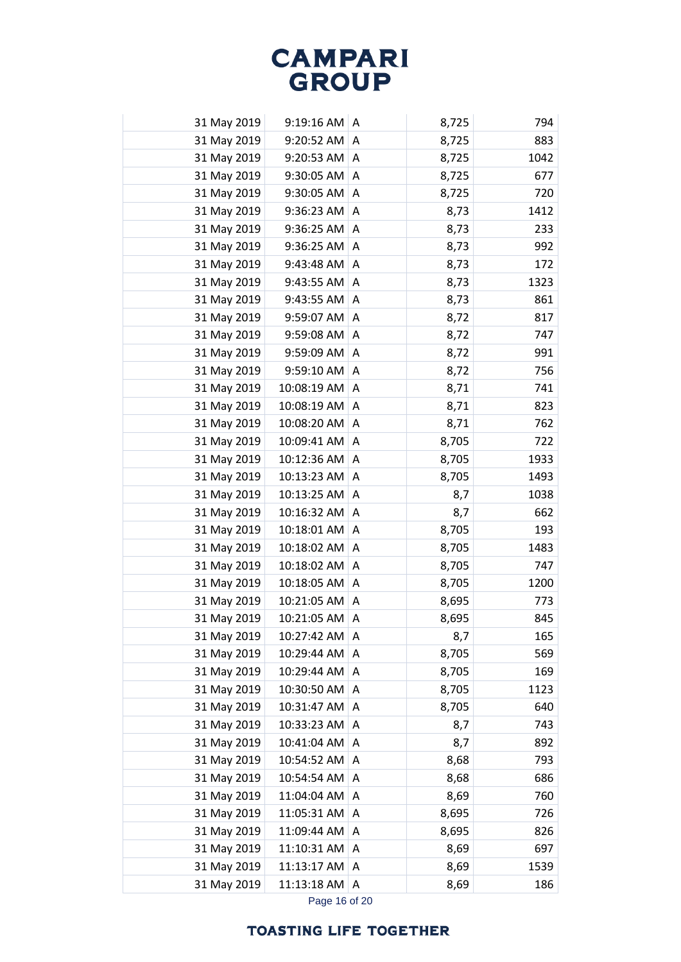| 31 May 2019 | 9:19:16 AM  | A | 8,725 | 794  |
|-------------|-------------|---|-------|------|
| 31 May 2019 | 9:20:52 AM  | A | 8,725 | 883  |
| 31 May 2019 | 9:20:53 AM  | A | 8,725 | 1042 |
| 31 May 2019 | 9:30:05 AM  | A | 8,725 | 677  |
| 31 May 2019 | 9:30:05 AM  | Α | 8,725 | 720  |
| 31 May 2019 | 9:36:23 AM  | A | 8,73  | 1412 |
| 31 May 2019 | 9:36:25 AM  | A | 8,73  | 233  |
| 31 May 2019 | 9:36:25 AM  | A | 8,73  | 992  |
| 31 May 2019 | 9:43:48 AM  | A | 8,73  | 172  |
| 31 May 2019 | 9:43:55 AM  | Α | 8,73  | 1323 |
| 31 May 2019 | 9:43:55 AM  | Α | 8,73  | 861  |
| 31 May 2019 | 9:59:07 AM  | Α | 8,72  | 817  |
| 31 May 2019 | 9:59:08 AM  | A | 8,72  | 747  |
| 31 May 2019 | 9:59:09 AM  | A | 8,72  | 991  |
| 31 May 2019 | 9:59:10 AM  | A | 8,72  | 756  |
| 31 May 2019 | 10:08:19 AM | A | 8,71  | 741  |
| 31 May 2019 | 10:08:19 AM | Α | 8,71  | 823  |
| 31 May 2019 | 10:08:20 AM | A | 8,71  | 762  |
| 31 May 2019 | 10:09:41 AM | A | 8,705 | 722  |
| 31 May 2019 | 10:12:36 AM | A | 8,705 | 1933 |
| 31 May 2019 | 10:13:23 AM | A | 8,705 | 1493 |
| 31 May 2019 | 10:13:25 AM | Α | 8,7   | 1038 |
| 31 May 2019 | 10:16:32 AM | A | 8,7   | 662  |
| 31 May 2019 | 10:18:01 AM | A | 8,705 | 193  |
| 31 May 2019 | 10:18:02 AM | A | 8,705 | 1483 |
| 31 May 2019 | 10:18:02 AM | Α | 8,705 | 747  |
| 31 May 2019 | 10:18:05 AM | A | 8,705 | 1200 |
| 31 May 2019 | 10:21:05 AM | Α | 8,695 | 773  |
| 31 May 2019 | 10:21:05 AM | Α | 8,695 | 845  |
| 31 May 2019 | 10:27:42 AM | A | 8,7   | 165  |
| 31 May 2019 | 10:29:44 AM | A | 8,705 | 569  |
| 31 May 2019 | 10:29:44 AM | A | 8,705 | 169  |
| 31 May 2019 | 10:30:50 AM | Α | 8,705 | 1123 |
| 31 May 2019 | 10:31:47 AM | Α | 8,705 | 640  |
| 31 May 2019 | 10:33:23 AM | Α | 8,7   | 743  |
| 31 May 2019 | 10:41:04 AM | Α | 8,7   | 892  |
| 31 May 2019 | 10:54:52 AM | Α | 8,68  | 793  |
| 31 May 2019 | 10:54:54 AM | Α | 8,68  | 686  |
| 31 May 2019 | 11:04:04 AM | A | 8,69  | 760  |
| 31 May 2019 | 11:05:31 AM | Α | 8,695 | 726  |
| 31 May 2019 | 11:09:44 AM | A | 8,695 | 826  |
| 31 May 2019 | 11:10:31 AM | Α | 8,69  | 697  |
| 31 May 2019 | 11:13:17 AM | Α | 8,69  | 1539 |
| 31 May 2019 | 11:13:18 AM | A | 8,69  | 186  |
|             |             |   |       |      |

Page 16 of 20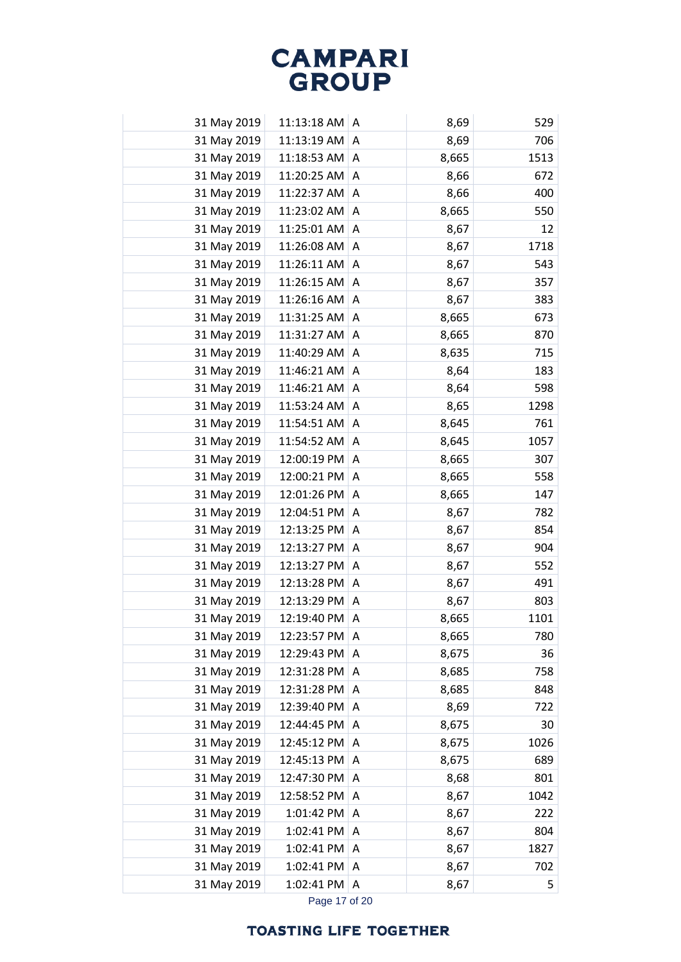| 31 May 2019 | 11:13:18 AM | A | 8,69  | 529  |
|-------------|-------------|---|-------|------|
| 31 May 2019 | 11:13:19 AM | Α | 8,69  | 706  |
| 31 May 2019 | 11:18:53 AM | A | 8,665 | 1513 |
| 31 May 2019 | 11:20:25 AM | Α | 8,66  | 672  |
| 31 May 2019 | 11:22:37 AM | Α | 8,66  | 400  |
| 31 May 2019 | 11:23:02 AM | A | 8,665 | 550  |
| 31 May 2019 | 11:25:01 AM | Α | 8,67  | 12   |
| 31 May 2019 | 11:26:08 AM | Α | 8,67  | 1718 |
| 31 May 2019 | 11:26:11 AM | A | 8,67  | 543  |
| 31 May 2019 | 11:26:15 AM | Α | 8,67  | 357  |
| 31 May 2019 | 11:26:16 AM | A | 8,67  | 383  |
| 31 May 2019 | 11:31:25 AM | Α | 8,665 | 673  |
| 31 May 2019 | 11:31:27 AM | Α | 8,665 | 870  |
| 31 May 2019 | 11:40:29 AM | Α | 8,635 | 715  |
| 31 May 2019 | 11:46:21 AM | Α | 8,64  | 183  |
| 31 May 2019 | 11:46:21 AM | Α | 8,64  | 598  |
| 31 May 2019 | 11:53:24 AM | Α | 8,65  | 1298 |
| 31 May 2019 | 11:54:51 AM | Α | 8,645 | 761  |
| 31 May 2019 | 11:54:52 AM | Α | 8,645 | 1057 |
| 31 May 2019 | 12:00:19 PM | A | 8,665 | 307  |
| 31 May 2019 | 12:00:21 PM | A | 8,665 | 558  |
| 31 May 2019 | 12:01:26 PM | A | 8,665 | 147  |
| 31 May 2019 | 12:04:51 PM | A | 8,67  | 782  |
| 31 May 2019 | 12:13:25 PM | Α | 8,67  | 854  |
| 31 May 2019 | 12:13:27 PM | Α | 8,67  | 904  |
| 31 May 2019 | 12:13:27 PM | A | 8,67  | 552  |
| 31 May 2019 | 12:13:28 PM | A | 8,67  | 491  |
| 31 May 2019 | 12:13:29 PM | Α | 8,67  | 803  |
| 31 May 2019 | 12:19:40 PM | Α | 8,665 | 1101 |
| 31 May 2019 | 12:23:57 PM | A | 8,665 | 780  |
| 31 May 2019 | 12:29:43 PM | A | 8,675 | 36   |
| 31 May 2019 | 12:31:28 PM | Α | 8,685 | 758  |
| 31 May 2019 | 12:31:28 PM | Α | 8,685 | 848  |
| 31 May 2019 | 12:39:40 PM | Α | 8,69  | 722  |
| 31 May 2019 | 12:44:45 PM | Α | 8,675 | 30   |
| 31 May 2019 | 12:45:12 PM | A | 8,675 | 1026 |
| 31 May 2019 | 12:45:13 PM | Α | 8,675 | 689  |
| 31 May 2019 | 12:47:30 PM | A | 8,68  | 801  |
| 31 May 2019 | 12:58:52 PM | Α | 8,67  | 1042 |
| 31 May 2019 | 1:01:42 PM  | Α | 8,67  | 222  |
| 31 May 2019 | 1:02:41 PM  | A | 8,67  | 804  |
| 31 May 2019 | 1:02:41 PM  | Α | 8,67  | 1827 |
| 31 May 2019 | 1:02:41 PM  | Α | 8,67  | 702  |
| 31 May 2019 | 1:02:41 PM  | A | 8,67  | 5    |
|             |             |   |       |      |

Page 17 of 20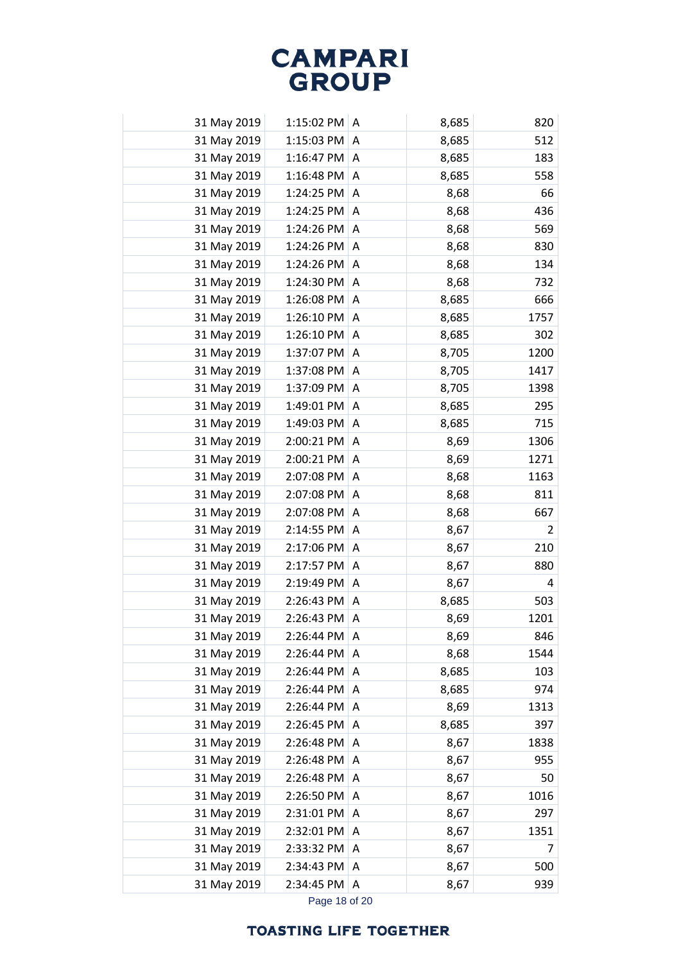| 31 May 2019 | 1:15:02 PM | A | 8,685 | 820            |
|-------------|------------|---|-------|----------------|
| 31 May 2019 | 1:15:03 PM | Α | 8,685 | 512            |
| 31 May 2019 | 1:16:47 PM | A | 8,685 | 183            |
| 31 May 2019 | 1:16:48 PM | A | 8,685 | 558            |
| 31 May 2019 | 1:24:25 PM | Α | 8,68  | 66             |
| 31 May 2019 | 1:24:25 PM | A | 8,68  | 436            |
| 31 May 2019 | 1:24:26 PM | A | 8,68  | 569            |
| 31 May 2019 | 1:24:26 PM | A | 8,68  | 830            |
| 31 May 2019 | 1:24:26 PM | A | 8,68  | 134            |
| 31 May 2019 | 1:24:30 PM | A | 8,68  | 732            |
| 31 May 2019 | 1:26:08 PM | A | 8,685 | 666            |
| 31 May 2019 | 1:26:10 PM | Α | 8,685 | 1757           |
| 31 May 2019 | 1:26:10 PM | A | 8,685 | 302            |
| 31 May 2019 | 1:37:07 PM | A | 8,705 | 1200           |
| 31 May 2019 | 1:37:08 PM | A | 8,705 | 1417           |
| 31 May 2019 | 1:37:09 PM | A | 8,705 | 1398           |
| 31 May 2019 | 1:49:01 PM | A | 8,685 | 295            |
| 31 May 2019 | 1:49:03 PM | A | 8,685 | 715            |
| 31 May 2019 | 2:00:21 PM | Α | 8,69  | 1306           |
| 31 May 2019 | 2:00:21 PM | A | 8,69  | 1271           |
| 31 May 2019 | 2:07:08 PM | A | 8,68  | 1163           |
| 31 May 2019 | 2:07:08 PM | Α | 8,68  | 811            |
| 31 May 2019 | 2:07:08 PM | A | 8,68  | 667            |
| 31 May 2019 | 2:14:55 PM | Α | 8,67  | $\overline{2}$ |
| 31 May 2019 | 2:17:06 PM | Α | 8,67  | 210            |
| 31 May 2019 | 2:17:57 PM | A | 8,67  | 880            |
| 31 May 2019 | 2:19:49 PM | A | 8,67  | 4              |
| 31 May 2019 | 2:26:43 PM | A | 8,685 | 503            |
| 31 May 2019 | 2:26:43 PM | Α | 8,69  | 1201           |
| 31 May 2019 | 2:26:44 PM | Α | 8,69  | 846            |
| 31 May 2019 | 2:26:44 PM | Α | 8,68  | 1544           |
| 31 May 2019 | 2:26:44 PM | Α | 8,685 | 103            |
| 31 May 2019 | 2:26:44 PM | Α | 8,685 | 974            |
| 31 May 2019 | 2:26:44 PM | Α | 8,69  | 1313           |
| 31 May 2019 | 2:26:45 PM | A | 8,685 | 397            |
| 31 May 2019 | 2:26:48 PM | A | 8,67  | 1838           |
| 31 May 2019 | 2:26:48 PM | Α | 8,67  | 955            |
| 31 May 2019 | 2:26:48 PM | A | 8,67  | 50             |
| 31 May 2019 | 2:26:50 PM | Α | 8,67  | 1016           |
| 31 May 2019 | 2:31:01 PM | Α | 8,67  | 297            |
| 31 May 2019 | 2:32:01 PM | Α | 8,67  | 1351           |
| 31 May 2019 | 2:33:32 PM | Α | 8,67  | 7              |
| 31 May 2019 | 2:34:43 PM | Α | 8,67  | 500            |
| 31 May 2019 | 2:34:45 PM | Α | 8,67  | 939            |
|             |            |   |       |                |

Page 18 of 20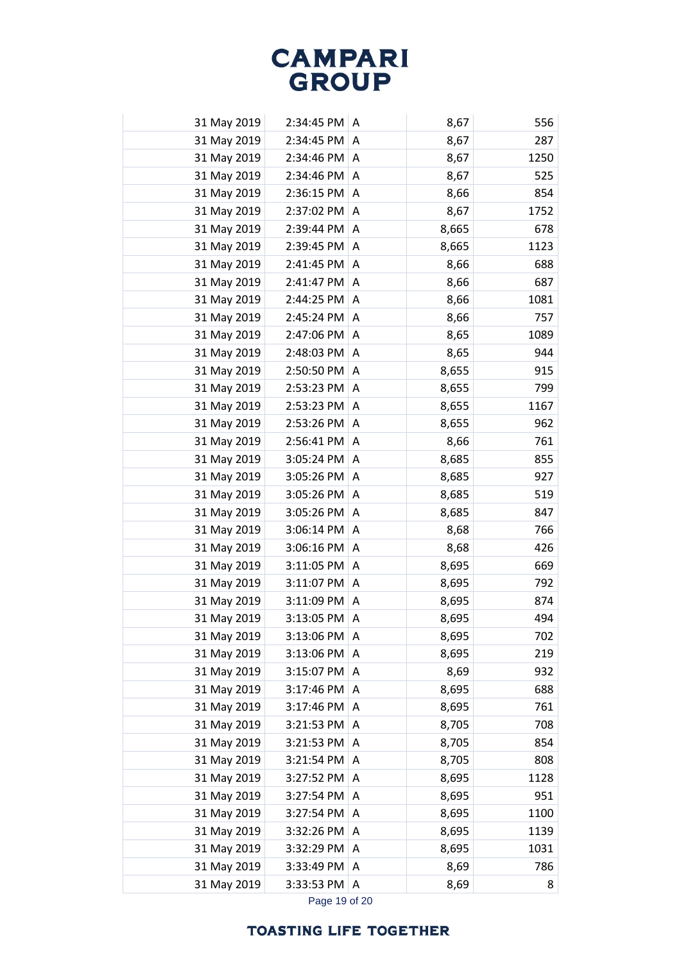| 31 May 2019 | 2:34:45 PM | A | 8,67  | 556  |
|-------------|------------|---|-------|------|
| 31 May 2019 | 2:34:45 PM | Α | 8,67  | 287  |
| 31 May 2019 | 2:34:46 PM | A | 8,67  | 1250 |
| 31 May 2019 | 2:34:46 PM | A | 8,67  | 525  |
| 31 May 2019 | 2:36:15 PM | A | 8,66  | 854  |
| 31 May 2019 | 2:37:02 PM | Α | 8,67  | 1752 |
| 31 May 2019 | 2:39:44 PM | Α | 8,665 | 678  |
| 31 May 2019 | 2:39:45 PM | A | 8,665 | 1123 |
| 31 May 2019 | 2:41:45 PM | A | 8,66  | 688  |
| 31 May 2019 | 2:41:47 PM | Α | 8,66  | 687  |
| 31 May 2019 | 2:44:25 PM | A | 8,66  | 1081 |
| 31 May 2019 | 2:45:24 PM | Α | 8,66  | 757  |
| 31 May 2019 | 2:47:06 PM | A | 8,65  | 1089 |
| 31 May 2019 | 2:48:03 PM | Α | 8,65  | 944  |
| 31 May 2019 | 2:50:50 PM | A | 8,655 | 915  |
| 31 May 2019 | 2:53:23 PM | A | 8,655 | 799  |
| 31 May 2019 | 2:53:23 PM | A | 8,655 | 1167 |
| 31 May 2019 | 2:53:26 PM | A | 8,655 | 962  |
| 31 May 2019 | 2:56:41 PM | Α | 8,66  | 761  |
| 31 May 2019 | 3:05:24 PM | A | 8,685 | 855  |
| 31 May 2019 | 3:05:26 PM | A | 8,685 | 927  |
| 31 May 2019 | 3:05:26 PM | Α | 8,685 | 519  |
| 31 May 2019 | 3:05:26 PM | A | 8,685 | 847  |
| 31 May 2019 | 3:06:14 PM | Α | 8,68  | 766  |
| 31 May 2019 | 3:06:16 PM | Α | 8,68  | 426  |
| 31 May 2019 | 3:11:05 PM | A | 8,695 | 669  |
| 31 May 2019 | 3:11:07 PM | A | 8,695 | 792  |
| 31 May 2019 | 3:11:09 PM | Α | 8,695 | 874  |
| 31 May 2019 | 3:13:05 PM | Α | 8,695 | 494  |
| 31 May 2019 | 3:13:06 PM | Α | 8,695 | 702  |
| 31 May 2019 | 3:13:06 PM | A | 8,695 | 219  |
| 31 May 2019 | 3:15:07 PM | A | 8,69  | 932  |
| 31 May 2019 | 3:17:46 PM | A | 8,695 | 688  |
| 31 May 2019 | 3:17:46 PM | Α | 8,695 | 761  |
| 31 May 2019 | 3:21:53 PM | Α | 8,705 | 708  |
| 31 May 2019 | 3:21:53 PM | A | 8,705 | 854  |
| 31 May 2019 | 3:21:54 PM | Α | 8,705 | 808  |
| 31 May 2019 | 3:27:52 PM | Α | 8,695 | 1128 |
| 31 May 2019 | 3:27:54 PM | A | 8,695 | 951  |
| 31 May 2019 | 3:27:54 PM | Α | 8,695 | 1100 |
| 31 May 2019 | 3:32:26 PM | Α | 8,695 | 1139 |
| 31 May 2019 | 3:32:29 PM | Α | 8,695 | 1031 |
| 31 May 2019 | 3:33:49 PM | Α | 8,69  | 786  |
| 31 May 2019 | 3:33:53 PM | A | 8,69  | 8    |
|             |            |   |       |      |

Page 19 of 20